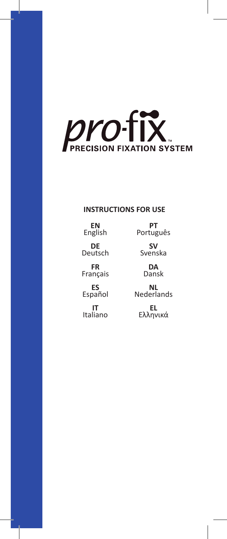

## **INSTRUCTIONS FOR USE**

**EN** English

**PT** Português

**SV** Svenska

> **DA** Dansk

**NL** Nederlands

**EL** Ελληνικά

**DE**

Deutsch **FR**

Français

**ES** Español

**IT** Italiano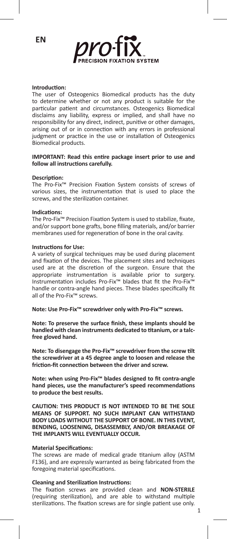

#### **Introduction:**

The user of Osteogenics Biomedical products has the duty to determine whether or not any product is suitable for the particular patient and circumstances. Osteogenics Biomedical disclaims any liability, express or implied, and shall have no responsibility for any direct, indirect, punitive or other damages, arising out of or in connection with any errors in professional judgment or practice in the use or installation of Osteogenics Biomedical products.

#### **IMPORTANT: Read this entire package insert prior to use and follow all instructions carefully.**

#### **Description:**

The Pro-Fix™ Precision Fixation System consists of screws of various sizes, the instrumentation that is used to place the screws, and the sterilization container.

#### **Indications:**

The Pro-Fix™ Precision Fixation System is used to stabilize, fixate, and/or support bone grafts, bone filling materials, and/or barrier membranes used for regeneration of bone in the oral cavity.

#### **Instructions for Use:**

A variety of surgical techniques may be used during placement and fixation of the devices. The placement sites and techniques used are at the discretion of the surgeon. Ensure that the appropriate instrumentation is available prior to surgery. Instrumentation includes Pro-Fix™ blades that fit the Pro-Fix™ handle or contra-angle hand pieces. These blades specifically fit all of the Pro-Fix™ screws.

**Note: Use Pro-Fix™ screwdriver only with Pro-Fix™ screws.**

**Note: To preserve the surface finish, these implants should be handled with clean instruments dedicated to titanium, or a talcfree gloved hand.**

**Note: To disengage the Pro-Fix™ screwdriver from the screw tilt the screwdriver at a 45 degree angle to loosen and release the friction-fit connection between the driver and screw.**

**Note: when using Pro-Fix™ blades designed to fit contra-angle hand pieces, use the manufacturer's speed recommendations to produce the best results.**

**CAUTION: THIS PRODUCT IS NOT INTENDED TO BE THE SOLE MEANS OF SUPPORT. NO SUCH IMPLANT CAN WITHSTAND BODY LOADS WITHOUT THE SUPPORT OF BONE. IN THIS EVENT, BENDING, LOOSENING, DISASSEMBLY, AND/OR BREAKAGE OF THE IMPLANTS WILL EVENTUALLY OCCUR.**

#### **Material Specifications:**

The screws are made of medical grade titanium alloy (ASTM F136), and are expressly warranted as being fabricated from the foregoing material specifications.

#### **Cleaning and Sterilization Instructions:**

The fixation screws are provided clean and **NON-STERILE** (requiring sterilization), and are able to withstand multiple sterilizations. The fixation screws are for single patient use only.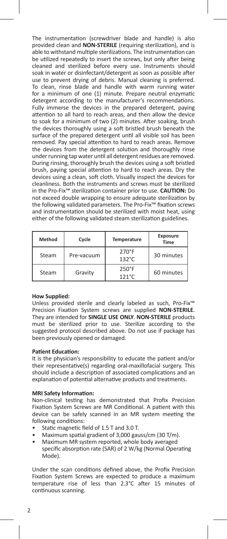The instrumentation (screwdriver blade and handle) is also provided clean and **NON-STERILE** (requiring sterilization), and is able to withstand multiple sterilizations. The instrumentation can be utilized repeatedly to insert the screws, but only after being cleaned and sterilized before every use. Instruments should soak in water or disinfectant/detergent as soon as possible after use to prevent drying of debris. Manual cleaning is preferred. To clean, rinse blade and handle with warm running water for a minimum of one (1) minute. Prepare neutral enzymatic detergent according to the manufacturer's recommendations. Fully immerse the devices in the prepared detergent, paying attention to all hard to reach areas, and then allow the device to soak for a minimum of two (2) minutes. After soaking, brush the devices thoroughly using a soft bristled brush beneath the surface of the prepared detergent until all visible soil has been removed. Pay special attention to hard to reach areas. Remove the devices from the detergent solution and thoroughly rinse under running tap water until all detergent residues are removed. During rinsing, thoroughly brush the devices using a soft bristled brush, paying special attention to hard to reach areas. Dry the devices using a clean, soft cloth. Visually inspect the devices for cleanliness. Both the instruments and screws must be sterilized in the Pro-Fix™ sterilization container prior to use. **CAUTION:** Do not exceed double wrapping to ensure adequate sterilization by the following validated parameters. The Pro-Fix™ fixation screws and instrumentation should be sterilized with moist heat, using either of the following validated steam sterilization guidelines.

| Method | Cycle      | <b>Temperature</b>                 | Exposure<br>Time |
|--------|------------|------------------------------------|------------------|
| Steam  | Pre-vacuum | $270^\circ F$<br>$132^{\circ}$ C   | 30 minutes       |
| Steam  | Gravity    | $250^{\circ}$ F<br>$121^{\circ}$ C | 60 minutes       |

#### **How Supplied:**

Unless provided sterile and clearly labeled as such, Pro-Fix™ Precision Fixation System screws are supplied **NON-STERILE**. They are intended for **SINGLE USE ONLY**. **NON-STERILE** products must be sterilized prior to use. Sterilize according to the suggested protocol described above. Do not use if package has been previously opened or damaged.

#### **Patient Education:**

It is the physician's responsibility to educate the patient and/or their representative(s) regarding oral-maxillofacial surgery. This should include a description of associated complications and an explanation of potential alternative products and treatments.

#### **MRI Safety Information:**

Non-clinical testing has demonstrated that Profix Precision Fixation System Screws are MR Conditional. A patient with this device can be safely scanned in an MR system meeting the following conditions:

- Static magnetic field of 1.5 T and 3.0 T.
- Maximum spatial gradient of 3,000 gauss/cm (30 T/m).
- Maximum MR system reported, whole body averaged specific absorption rate (SAR) of 2 W/kg (Normal Operating Mode).

Under the scan conditions defined above, the Profix Precision Fixation System Screws are expected to produce a maximum temperature rise of less than 2.3°C after 15 minutes of continuous scanning.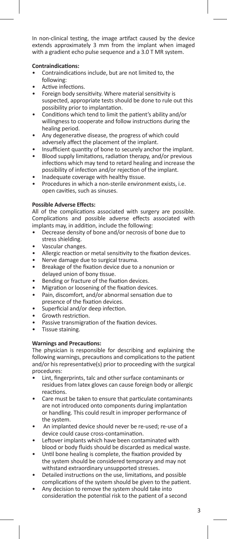In non-clinical testing, the image artifact caused by the device extends approximately 3 mm from the implant when imaged with a gradient echo pulse sequence and a 3.0 T MR system.

### **Contraindications:**

- Contraindications include, but are not limited to, the following:
- Active infections.
- Foreign body sensitivity. Where material sensitivity is suspected, appropriate tests should be done to rule out this possibility prior to implantation.
- Conditions which tend to limit the patient's ability and/or willingness to cooperate and follow instructions during the healing period.
- Any degenerative disease, the progress of which could adversely affect the placement of the implant.
- Insufficient quantity of bone to securely anchor the implant.
- Blood supply limitations, radiation therapy, and/or previous infections which may tend to retard healing and increase the possibility of infection and/or rejection of the implant.
- Inadequate coverage with healthy tissue.
- Procedures in which a non-sterile environment exists, i.e. open cavities, such as sinuses.

### **Possible Adverse Effects:**

All of the complications associated with surgery are possible. Complications and possible adverse effects associated with implants may, in addition, include the following:

- Decrease density of bone and/or necrosis of bone due to stress shielding.
- Vascular changes.
- Allergic reaction or metal sensitivity to the fixation devices.
- Nerve damage due to surgical trauma.
- Breakage of the fixation device due to a nonunion or delayed union of bony tissue.
- Bending or fracture of the fixation devices.
- Migration or loosening of the fixation devices.
- Pain, discomfort, and/or abnormal sensation due to presence of the fixation devices.
- Superficial and/or deep infection.
- Growth restriction.
- Passive transmigration of the fixation devices.
- Tissue staining.

### **Warnings and Precautions:**

The physician is responsible for describing and explaining the following warnings, precautions and complications to the patient and/or his representative(s) prior to proceeding with the surgical procedures:

- Lint, fingerprints, talc and other surface contaminants or residues from latex gloves can cause foreign body or allergic reactions.
- Care must be taken to ensure that particulate contaminants are not introduced onto components during implantation or handling. This could result in improper performance of the system.
- An implanted device should never be re-used; re-use of a device could cause cross-contamination.
- Leftover implants which have been contaminated with blood or body fluids should be discarded as medical waste.
- Until bone healing is complete, the fixation provided by the system should be considered temporary and may not withstand extraordinary unsupported stresses.
- Detailed instructions on the use, limitations, and possible complications of the system should be given to the patient.
- Any decision to remove the system should take into consideration the potential risk to the patient of a second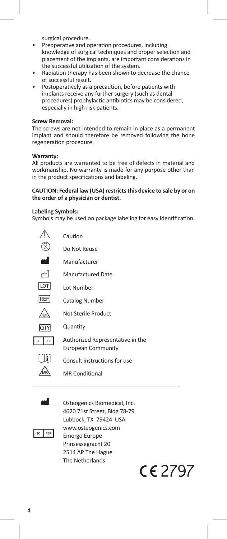surgical procedure.

- Preoperative and operation procedures, including knowledge of surgical techniques and proper selection and placement of the implants, are important considerations in the successful utilization of the system.
- Radiation therapy has been shown to decrease the chance of successful result.
- Postoperatively as a precaution, before patients with implants receive any further surgery (such as dental procedures) prophylactic antibiotics may be considered, especially in high risk patients.

#### **Screw Removal:**

The screws are not intended to remain in place as a permanent implant and should therefore be removed following the bone regeneration procedure.

#### **Warranty:**

All products are warranted to be free of defects in material and workmanship. No warranty is made for any purpose other than in the product specifications and labeling.

#### **CAUTION: Federal law (USA) restricts this device to sale by or on the order of a physician or dentist.**

#### **Labeling Symbols:**

Symbols may be used on package labeling for easy identification.

|            | Caution                                                       |
|------------|---------------------------------------------------------------|
|            | Do Not Reuse                                                  |
| اس         | Manufacturer                                                  |
| ∼          | Manufactured Date                                             |
| <b>LOT</b> | Lot Number                                                    |
| <b>REF</b> | Catalog Number                                                |
|            | Not Sterile Product                                           |
| IQTY       | Quantity                                                      |
| RFP        | Authorized Representative in the<br><b>European Community</b> |
|            | Consult instructions for use                                  |
|            | <b>MR Conditional</b>                                         |

**M** Osteogenics Biomedical, Inc. 4620 71st Street, Bldg 78-79 Lubbock, TX 79424 USA WWW.osteogenics.com Emergo Europe Prinsessegracht 20 2514 AP The Hague The Netherlands

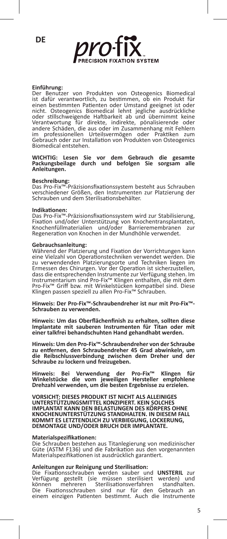**DE**



#### **Einführung:**

Der Benutzer von Produkten von Osteogenics Biomedical ist dafür verantwortlich, zu bestimmen, ob ein Produkt für einen bestimmten Patienten oder Umstand geeignet ist oder<br>nicht. Osteogenics Biomedical lehnt jegliche ausdrückliche<br>oder stillschweigende Haftbarkeit ab und übernimmt keine<br>Verantwortung für direkte, indirekte, pönalisier im professionellen Urteilsvermögen oder Praktiken zum Gebrauch oder zur Installation von Produkten von Osteogenics Biomedical entstehen.

## **WICHTIG: Lesen Sie vor dem Gebrauch die gesamte Packungsbeilage durch und befolgen Sie sorgsam alle Anleitungen.**

**Beschreibung:** Das Pro-Fix™-Präzisionsfixationssystem besteht aus Schrauben verschiedener Größen, den Instrumenten zur Platzierung der Schrauben und dem Sterilisationsbehälter.

#### **Indikationen:**

Das Pro-Fix™-Präzisionsfixationssystem wird zur Stabilisierung, Fixation und/oder Unterstützung von Knochentransplantaten, Knochenfüllmaterialien und/oder Barrieremembranen zur Regeneration von Knochen in der Mundhöhle verwendet.

#### **Gebrauchsanleitung:**

Während der Platzierung und Fixation der Vorrichtungen kann eine Vielzahl von Operationstechniken verwendet werden. Die zu verwendenden Platzierungsorte und Techniken liegen im Ermessen des Chirurgen. Vor der Operation ist sicherzustellen, dass die entsprechenden Instrumente zur Verfügung stehen. Im Instrumentarium sind Pro-Fix™ Klingen enthalten, die mit dem Pro-Fix™ Griff bzw. mit Winkelstücken kompatibel sind. Diese Klingen passen speziell zu allen Pro-Fix™ Schrauben.

**Hinweis: Der Pro-Fix™-Schraubendreher ist nur mit Pro-Fix™- Schrauben zu verwenden.**

**Hinweis: Um das Oberflächenfinish zu erhalten, sollten diese Implantate mit sauberen Instrumenten für Titan oder mit einer talkfrei behandschuhten Hand gehandhabt werden.**

**Hinweis: Um den Pro-Fix™-Schraubendreher von der Schraube zu entfernen, den Schraubendreher 45 Grad abwinkeln, um die Reibschlussverbindung zwischen dem Dreher und der Schraube zu lockern und freizugeben.**

**Hinweis: Bei Verwendung der Pro-Fix™ Klingen für Winkelstücke die vom jeweiligen Hersteller empfohlene Drehzahl verwenden, um die besten Ergebnisse zu erzielen.**

**VORSICHT: DIESES PRODUKT IST NICHT ALS ALLEINIGES UNTERSTÜTZUNGSMITTEL KONZIPIERT. KEIN SOLCHES IMPLANTAT KANN DEN BELASTUNGEN DES KÖRPERS OHNE KNOCHENUNTERSTÜTZUNG STANDHALTEN. IN DIESEM FALL KOMMT ES LETZTENDLICH ZU VERBIEGUNG, LOCKERUNG, DEMONTAGE UND/ODER BRUCH DER IMPLANTATE.**

#### **Materialspezifikationen:**

Die Schrauben bestehen aus Titanlegierung von medizinischer Güte (ASTM F136) und die Fabrikation aus den vorgenannten Materialspezifikationen ist ausdrücklich garantiert.

#### **Anleitungen zur Reinigung und Sterilisation:**

Die Fixationsschrauben werden sauber und **UNSTERIL** zur<br>Verfügung gestellt (sie müssen sterilisiert werden) und<br>können mehreren Sterilisationsverfahren standhalten. Die Fixationsschrauben sind nur für den Gebrauch an einem einzigen Patienten bestimmt. Auch die Instrumente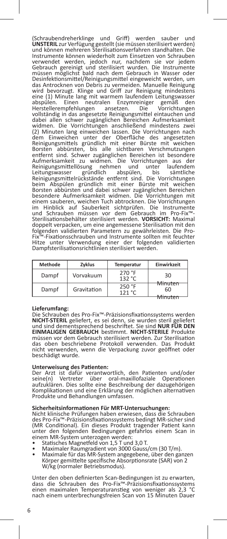(Schraubendreherklinge und Griff) werden sauber und **UNSTERIL** zur Verfügung gestellt (sie müssen sterilisiert werden) und können mehreren Sterilisationsverfahren standhalten. Die Instrumente können wiederholt zum Einsetzen von Schrauben verwendet werden, jedoch nur, nachdem sie vor jedem Gebrauch gereinigt und sterilisiert wurden. Die Instrumente müssen möglichst bald nach dem Gebrauch in Wasser oder Desinfektionsmittel/Reinigungsmittel eingeweicht werden, um das Antrocknen von Debris zu vermeiden. Manuelle Reinigung wird bevorzugt. Klinge und Griff zur Reinigung mindestens eine (1) Minute lang mit warmem laufendem Leitungswasser abspülen. Einen neutralen Enzymreiniger gemäß den Herstellerempfehlungen ansetzen. Die Vorrichtungen vollständig in das angesetzte Reinigungsmittel eintauchen und<br>dabei allen schwer zugänglichen Bereichen Aufmerksamkeit widmen. Die Vorrichtungen anschließend mindestens zwei (2) Minuten lang einweichen lassen. Die Vorrichtungen nach dem Einweichen unter der Oberfläche des angesetzten Reinigungsmittels gründlich mit einer Bürste mit weichen Borsten abbürsten, bis alle sichtbaren Verschmutzungen entfernt sind. Schwer zugänglichen Bereichen ist besondere Aufmerksamkeit zu widmen. Die Vorrichtungen aus der Reinigungsmittellösung nehmen und unter laufendem Leitungswasser gründlich abspülen, bis sämtliche Reinigungsmittelrückstände entfernt sind. Die Vorrichtungen beim Abspülen gründlich mit einer Bürste mit weichen Borsten abbürsten und dabei schwer zugänglichen Bereichen besondere Aufmerksamkeit widmen. Die Vorrichtungen mit einem sauberen, weichen Tuch abtrocknen. Die Vorrichtungen<br>im Hinblick auf Sauberkeit sichtprüfen. Die Instrumente<br>und Schrauben müssen vor dem Gebrauch im Pro-Fix™-<br>Sterilisationsbehälter sterilisiert werden. **VORSICHT:** doppelt verpacken, um eine angemessene Sterilisation mit den folgenden validierten Parametern zu gewährleisten. Die Pro-Fix™-Fixationsschrauben und Instrumente sollten mit feuchter Hitze unter Verwendung einer der folgenden validierten Dampfsterilisationsrichtlinien sterilisiert werden.

| <b>Methode</b> | Zvklus      | Temperatur       | Einwirkzeit   |
|----------------|-------------|------------------|---------------|
| Dampf          | Vorvakuum   | 270 °F<br>132 °C | 30            |
| Dampf          | Gravitation | 250 °F<br>121 °C | Minuten<br>60 |

#### **Lieferumfang:**

Die Schrauben des Pro-Fix™-Präzisionsfixationssystems werden **NICHT-STERIL** geliefert, es sei denn, sie wurden steril geliefert und sind dementsprechend beschriftet. Sie sind **NUR FÜR DEN EINMALIGEN GEBRAUCH** bestimmt. **NICHT-STERILE** Produkte müssen vor dem Gebrauch sterilisiert werden. Zur Sterilisation das oben beschriebene Protokoll verwenden. Das Produkt nicht verwenden, wenn die Verpackung zuvor geöffnet oder beschädigt wurde.

## **Unterweisung des Patienten:**

Der Arzt ist dafür verantwortlich, den Patienten und/oder<br>seine(n) Vertreter über oral-maxillofaziale Operationen seine(n) Vertreter über oral-maxillofaziale Operationen aufzuklären. Dies sollte eine Beschreibung der dazugehörigen Komplikationen und eine Erklärung der möglichen alternativen Produkte und Behandlungen umfassen.

#### **Sicherheitsinformationen Für MRT-Untersuchungen:**

Nicht klinische Prüfungen haben erwiesen, dass die Schrauben des Pro-Fix™-Präzisionsfixationssystems bedingt MR-sicher sind (MR Conditional). Ein dieses Produkt tragender Patient kann unter den folgenden Bedingungen gefahrlos einem Scan in einem MR-System unterzogen werden:<br>• Statisches Magnetfeld von 1,5 T und 3,0 T.

- 
- 
- Statisches Magnetfeld von 1,5 T und 3,0 T. Maximaler Raumgradient von 3000 Gauss/cm (30 T/m). Maximale für das MR-System angegebene, über den ganzen Körper gemittelte spezifische Absorptionsrate (SAR) von 2 W/kg (normaler Betriebsmodus).

Unter den oben definierten Scan-Bedingungen ist zu erwarten, dass die Schrauben des Pro-Fix™-Präzisionsfixationssystems einen maximalen Temperaturanstieg von weniger als 2,3 °C nach einem unterbrechungsfreien Scan von 15 Minuten Dauer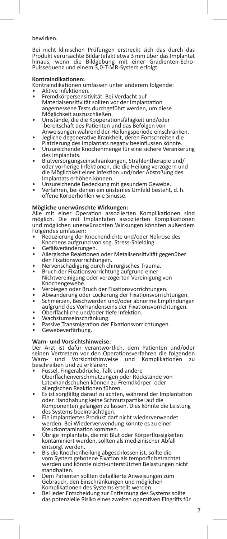bewirken.

Bei nicht klinischen Prüfungen erstreckt sich das durch das Produkt verursachte Bildartefakt etwa 3 mm über das Implantat hinaus, wenn die Bildgebung mit einer Gradienten-Echo-Pulssequenz und einem 3,0-T-MR-System erfolgt.

#### **Kontraindikationen:**

Kontraindikationen umfassen unter anderem folgende:

- 
- Fremdkörpersensitivität. Bei Verdacht auf Materialsensitivität sollten vor der Implantation angemessene Tests durchgeführt werden, um diese<br>Möglichkeit auszuschließen.
- Möglichkeit auszuschließen. Umstände, die die Kooperationsfähigkeit und/oder -bereitschaft des Patienten und das Befolgen von<br>Anweisungen während der Heilungsperiode einschränken.
- Jegliche degenerative Krankheit, deren Fortschreiten die<br>Platzierung des Implantats negativ beeinflussen könnte.
- Unzureichende Knochenmenge für eine sichere Verankerung des Implantats.
- Blutversorgungseinschränkungen, Strahlentherapie und/ oder vorherige Infektionen, die die Heilung verzögern und die Möglichkeit einer Infektion und/oder Abstoßung des Implantats erhöhen können.<br>Unzureichende Bedeckung mit gesundem Gewebe.<br>Verfahren, bei denen ein unsteriles Umfeld besteht, d. h.
- 
- offene Körperhöhlen wie Sinusse.

### **Mögliche unerwünschte Wirkungen:**

Alle mit einer Operation assoziierten Komplikationen sind möglich. Die mit Implantaten assoziierten Komplikationen und möglichen unerwünschten Wirkungen könnten außerdem Folgendes umfassen:

- .<br>Reduzierung der Knochendichte und/oder Nekrose des<br>Knochens aufgrund von sog. Stress-Shielding.
- 
- Gefäßveränderungen.<br>• Allergische Reaktionen oder Metallsensitivität gegenüber<br>den Fixationsvorrichtungen.
- Nervenschädigung durch chirurgisches Trauma.<br>Bruch der Fixationsvorrichtung aufgrund einer
- Nichtvereinigung oder verzögerten Vereinigung von
- 
- Kochengeweber Bruch der Fixationsvorrichtungen.<br>• Abwanderung oder Lockerung der Fixationsvorrichtungen.<br>• Schmerzen, Beschwerden und/oder abnorme Empfindungen<br>• Schmerzen, Beschwerden und/oder abnorme Empfindungen.
- 
- 
- Oberflächliche und/oder tiefe Infektion.<br>• Wachstumseinschränkung.<br>• Passive Transmigration der Fixationsvorrichtungen.<br>• Gewebeverfärbung.
- 

#### **Warn- und Vorsichtshinweise:**

Der Arzt ist dafür verantwortlich, dem Patienten und/oder seinen Vertretern vor den Operationsverfahren die folgenden<br>Warn- und Vorsichtshinweise und Komplikationen zu Worsichtshinweise beschreiben und zu erklären:

- Fussel, Fingerabdrücke, Talk und andere Oberflächenverschmutzungen oder Rückstände von Latexhandschuhen können zu Fremdkörper- oder
- Es ist sorgfältig darauf zu achten, während der Implantation oder Handhabung keine Schmutzpartikel auf die Komponenten gelangen zu lassen. Dies könnte die Leistung des Systems beeinträchtigen.<br>Ein implantiertes Produkt darf nicht wiederverwendet
- werden. Bei Wiederverwendung könnte es zu einer
- Übrige Implantate, die mit Blut oder Körperflüssigkeiten kontaminiert wurden, sollten als medizinischer Abfall
- entsorgt werden. Bis die Knochenheilung abgeschlossen ist, sollte die vom System gebotene Fixation als temporär betrachtet werden und könnte nicht-unterstützten Belastungen nicht standhalten.
- Dem Patienten sollten detaillierte Anweisungen zum Gebrauch, den Einschränkungen und möglichen<br>Komplikationen des Systems erteilt werden.
- Komplikationen des Systems erternung des Systems sollte das potenzielle Risiko eines zweiten operativen Eingriffs für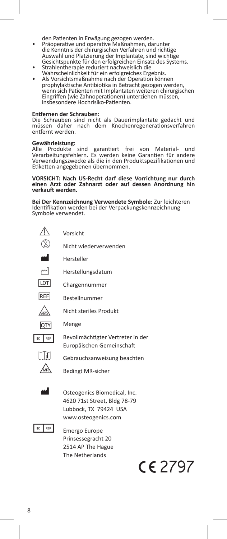- den Patienten in Erwägung gezogen werden. Präoperative und operative Maßnahmen, darunter die Kenntnis der chirurgischen Verfahren und richtige Auswahl und Platzierung der Implantate, sind wichtige
- Gesichtspunkte für den erfolgreichen Einsatz des Systems.<br>Strahlentherapie reduziert nachweislich die<br>Wahrscheinlichkeit für ein erfolgreiches Ergebnis.
- Als Vorsichtsmaßnahme nach der Operation können prophylaktische Antibiotika in Betracht gezogen werden, wenn sich Patienten mit Implantaten weiteren chirurgischen Eingriffen (wie Zahnoperationen) unterziehen müssen, insbesondere Hochrisiko-Patienten.

#### **Entfernen der Schrauben:**

Die Schrauben sind nicht als Dauerimplantate gedacht und müssen daher nach dem Knochenregenerationsverfahren entfernt werden.

## **Gewährleistung:**

sind garantiert frei von Material- und Verarbeitungsfehlern. Es werden keine Garantien für andere Verwendungszwecke als die in den Produktspezifikationen und Etiketten angegebenen übernommen.

## **VORSICHT: Nach US-Recht darf diese Vorrichtung nur durch einen Arzt oder Zahnarzt oder auf dessen Anordnung hin verkauft werden.**

**Bei Der Kennzeichnung Verwendete Symbole:** Zur leichteren Identifikation werden bei der Verpackungskennzeichnung Symbole verwendet.

|             | Vorsicht                                                                                                     |  |  |
|-------------|--------------------------------------------------------------------------------------------------------------|--|--|
|             | Nicht wiederverwenden                                                                                        |  |  |
| اس          | Hersteller                                                                                                   |  |  |
| اسم         | Herstellungsdatum                                                                                            |  |  |
| <b>ILOT</b> | Chargennummer                                                                                                |  |  |
| REF         | Bestellnummer                                                                                                |  |  |
|             | Nicht steriles Produkt                                                                                       |  |  |
| <b>OTY</b>  | Menge                                                                                                        |  |  |
| REP         | Bevollmächtigter Vertreter in der<br>Europäischen Gemeinschaft                                               |  |  |
|             | Gebrauchsanweisung beachten                                                                                  |  |  |
|             | <b>Bedingt MR-sicher</b>                                                                                     |  |  |
|             | Osteogenics Biomedical, Inc.<br>4620 71st Street, Bldg 78-79<br>Lubbock, TX 79424 USA<br>www.osteogenics.com |  |  |
|             | Emergo Europe                                                                                                |  |  |



 Prinsessegracht 20 2514 AP The Hague The Netherlands

# CE 2797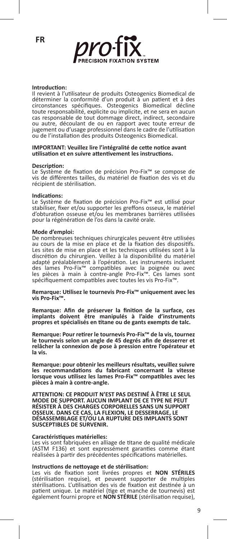

#### **Introduction:**

Il revient à l'utilisateur de produits Osteogenics Biomedical de déterminer la conformité d'un produit à un patient et à des circonstances spécifiques. Osteogenics Biomedical décline toute responsabilité, explicite ou implicite, et ne sera en aucun cas responsable de tout dommage direct, indirect, secondaire ou autre, découlant de ou en rapport avec toute erreur de jugement ou d'usage professionnel dans le cadre de l'utilisation ou de l'installation des produits Osteogenics Biomedical.

#### **IMPORTANT: Veuillez lire l'intégralité de cette notice avant utilisation et en suivre attentivement les instructions.**

#### **Description:**

Le Système de fixation de précision Pro-Fix™ se compose de vis de différentes tailles, du matériel de fixation des vis et du récipient de stérilisation.

#### **Indications:**

Le Système de fixation de précision Pro-Fix™ est utilisé pour stabiliser, fixer et/ou supporter les greffons osseux, le matériel d'obturation osseuse et/ou les membranes barrières utilisées pour la régénération de l'os dans la cavité orale.

#### **Mode d'emploi:**

De nombreuses techniques chirurgicales peuvent être utilisées au cours de la mise en place et de la fixation des dispositifs. Les sites de mise en place et les techniques utilisées sont à la discrétion du chirurgien. Veillez à la disponibilité du matériel adapté préalablement à l'opération. Les instruments incluent des lames Pro-Fix™ compatibles avec la poignée ou avec les pièces à main à contre-angle Pro-Fix™. Ces lames sont spécifiquement compatibles avec toutes les vis Pro-Fix™.

**Remarque: Utilisez le tournevis Pro-Fix™ uniquement avec les vis Pro-Fix™.**

**Remarque: Afin de préserver la finition de la surface, ces implants doivent être manipulés à l'aide d'instruments propres et spécialisés en titane ou de gants exempts de talc.**

**Remarque: Pour retirer le tournevis Pro-Fix™ de la vis, tournez le tournevis selon un angle de 45 degrés afin de desserrer et relâcher la connexion de pose à pression entre l'opérateur et la vis.**

**Remarque: pour obtenir les meilleurs résultats, veuillez suivre les recommandations du fabricant concernant la vitesse lorsque vous utilisez les lames Pro-Fix™ compatibles avec les pièces à main à contre-angle.**

**ATTENTION: CE PRODUIT N'EST PAS DESTINÉ À ÊTRE LE SEUL MODE DE SUPPORT. AUCUN IMPLANT DE CE TYPE NE PEUT RÉSISTER À DES CHARGES CORPORELLES SANS UN SUPPORT OSSEUX. DANS CE CAS, LA FLEXION, LE DESSERRAGE, LE DÉSASSEMBLAGE ET/OU LA RUPTURE DES IMPLANTS SONT SUSCEPTIBLES DE SURVENIR.**

#### **Caractéristiques matérielles:**

Les vis sont fabriquées en alliage de titane de qualité médicale (ASTM F136) et sont expressément garanties comme étant réalisées à partir des précédentes spécifications matérielles.

#### **Instructions de nettoyage et de stérilisation:**

Les vis de fixation sont livrées propres et **NON STÉRILES** (stérilisation requise), et peuvent supporter de multiples stérilisations. L'utilisation des vis de fixation est destinée à un patient unique. Le matériel (tige et manche de tournevis) est également fourni propre et **NON STÉRILE** (stérilisation requise),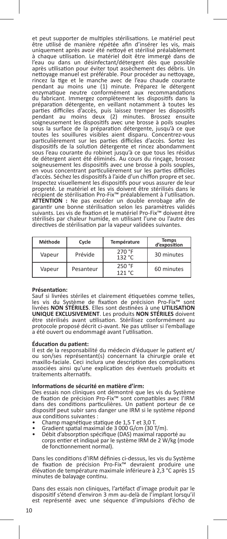et peut supporter de multiples stérilisations. Le matériel peut être utilisé de manière répétée afin d'insérer les vis, mais uniquement après avoir été nettoyé et stérilisé préalablement à chaque utilisation. Le matériel doit être immergé dans de l'eau ou dans un désinfectant/détergent dès que possible après utilisation pour éviter tout assèchement des débris. Un nettoyage manuel est préférable. Pour procéder au nettoyage, rincez la tige et le manche avec de l'eau chaude courante pendant au moins une (1) minute. Préparez le détergent enzymatique neutre conformément aux recommandations du fabricant. Immergez complètement les dispositifs dans la préparation détergente, en veillant notamment à toutes les parties difficiles d'accès, puis laissez tremper les dispositifs pendant au moins deux (2) minutes. Brossez ensuite<br>soigneusement les dispositifs avec une brosse à poils souples<br>sous la surface de la préparation détergente, jusqu'à ce que<br>toutes les souillures visibles aient disparu. Co particulièrement sur les parties difficiles d'accès. Sortez les dispositifs de la solution détergente et rincez abondamment sous l'eau courante du robinet jusqu'à ce que tous les résidus de détergent aient été éliminés. Au cours du rinçage, brossez soigneusement les dispositifs avec une brosse à poils souples, en vous concentrant particulièrement sur les parties difficiles d'accès. Séchez les dispositifs à l'aide d'un chiffon propre et sec. Inspectez visuellement les dispositifs pour vous assurer de leur propreté. Le matériel et les vis doivent être stérilisés dans le récipient de stérilisation Pro-Fix™ préalablement à l'utilisation. **ATTENTION :** Ne pas excéder un double enrobage afin de garantir une bonne stérilisation selon les paramètres validés suivants. Les vis de fixation et le matériel Pro-Fix™ doivent être stérilisés par chaleur humide, en utilisant l'une ou l'autre des directives de stérilisation par la vapeur validées suivantes.

| Méthode | Cycle     | Température      | <b>Temps</b><br>d'exposition |
|---------|-----------|------------------|------------------------------|
| Vapeur  | Prévide   | 270 °F<br>132 °C | 30 minutes                   |
| Vapeur  | Pesanteur | 250 °F<br>121 °C | 60 minutes                   |

#### **Présentation:**

Sauf si livrées stériles et clairement étiquetées comme telles, les vis du Système de fixation de précision Pro-Fix™ sont livrées **NON STÉRILES**. Elles sont destinées à une **UTILISATION UNIQUE EXCLUSIVEMENT**. Les produits **NON STÉRILES** doivent être stérilisés avant utilisation. Stérilisez conformément au protocole proposé décrit ci-avant. Ne pas utiliser si l'emballage a été ouvert ou endommagé avant l'utilisation.

#### **Éducation du patient:**

Il est de la responsabilité du médecin d'éduquer le patient et/ ou son/ses représentant(s) concernant la chirurgie orale et maxillo-faciale. Ceci inclura une description des complications associées ainsi qu'une explication des éventuels produits et traitements alternatifs.

#### **Informations de sécurité en matière d'irm:**

Des essais non cliniques ont démontré que les vis du Système de fixation de précision Pro-Fix™ sont compatibles avec l'IRM dans des conditions particulières. Un patient porteur de ce dispositif peut subir sans danger une IRM si le système répond

- aux conditions suivantes :<br>• Champ magnétique statique de 1,5 T et 3,0 T.
- Champ magnétique statique statique de 3 000 G/cm (30 T/m).<br>• Débit d'absorption spécifique (DAS) maximal rapporté au
- corps entier et indiqué par le système IRM de 2 W/kg (mode de fonctionnement normal).

Dans les conditions d'IRM définies ci-dessus, les vis du Système de fixation de précision Pro-Fix™ devraient produire une élévation de température maximale inférieure à 2,3 °C après 15 minutes de balayage continu.

Dans des essais non cliniques, l'artéfact d'image produit par le dispositif s'étend d'environ 3 mm au-delà de l'implant lorsqu'il est représenté avec une séquence d'impulsions d'écho de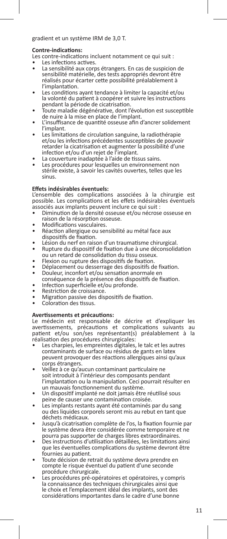### gradient et un système IRM de 3,0 T.

**Contre-indications:**

- 
- **Les infections actives.<br>• La sensibilité aux corps étrangers. En cas de suspicion de** sensibilité matérielle, des tests appropriés devront être réalisés pour écarter cette possibilité préalablement à<br>l'implantation.
- Les conditions ayant tendance à limiter la capacité et/ou la volonté du patient à coopérer et suivre les instructions pendant la période de cicatrisation.
- Toute maladie dégénérative, dont l'évolution est susceptible<br>de nuire à la mise en place de l'implant.
- L'insuffisance de quantité osseuse afin d'ancrer solidement.<br>l'implant.
- Les limitations de circulation sanguine, la radiothérapie et/ou les infections précédentes susceptibles de pouvoir retarder la cicatrisation et augmenter la possibilité d'une infection et/ou d'un rejet de l'implant.
- 
- La couverture inadaptée à l'aide de tissus sains.<br>Les procédures pour lesquelles un environnement non stérile existe, à savoir les cavités ouvertes, telles que les sinus.

#### **Effets indésirables éventuels:**

L'ensemble des complications associées à la chirurgie est possible. Les complications et les effets indésirables éventuels<br>associés aux implants peuvent inclure ce qui suit :

- Diminution de la densité osseuse et/ou nécrose osseuse en raison de la résorption osseuse.
- 
- Modifications vasculaires.<br>• Réaction allergique ou sensibilité au métal face aux<br>dispositifs de fixation.
- 
- disposition. Lésion du nerf en raison d'un traumatisme chirurgical.<br>• Rupture du dispositif de fixation due à une déconsolidation<br>• Qu un retard de consolidation du tissu osseux.
- 
- Flexion ou rupture des dispositifs de fixation.<br>Déplacement ou desserrage des dispositifs de fixation.<br>Douleur, inconfort et/ou sensation anormale en<br>conséquence de la présence des dispositifs de fixation.
- 
- 
- 
- e Infection superficielle et/ou profonde.<br>• Restriction de croissance.<br>• Migration passive des dispositifs de fixation.<br>• Coloration des tissus.
- 

#### **Avertissements et précautions:**

Le médecin est responsable de décrire et d'expliquer les<br>avertissements, précautions et complications suivants au avertissements, précautions et complications suivants au patient et/ou son/ses représentant(s) préalablement à la réalisation des procédures chirurgicales:

- Les charpies, les empreintes digitales, le talc et les autres contaminants de surface ou résidus de gants en latex peuvent provoquer des réactions allergiques ainsi qu'aux
- Veillez à ce qu'aucun contaminant particulaire ne soit introduit à l'intérieur des composants pendant l'implantation ou la manipulation. Ceci pourrait résulter en<br>un mauvais fonctionnement du système.
- Un dispositif implanté ne doit jamais être réutilisé sous<br>peine de causer une contamination croisée.
- Les implants restants ayant été contaminés par du sang ou des liquides corporels seront mis au rebut en tant que<br>déchets médicaux
- Jusqu'à cicatrisation complète de l'os, la fixation fournie par le système devra être considérée comme temporaire et ne
- Des instructions d'utilisation détaillées, les limitations ainsi que les éventuelles complications du système devront être<br>fournies au patient.
- Toute décision de retrait du système devra prendre en compte le risque éventuel du patient d'une seconde
- procédure chirurgicale.<br>Les procédures pré-opératoires et opératoires, y compris la connaissance des techniques chirurgicales ainsi que le choix et l'emplacement idéal des implants, sont des considérations importantes dans le cadre d'une bonne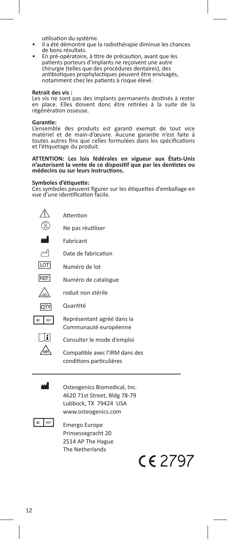- utilisation du système.<br>Il a été démontré que la radiothérapie diminue les chances<br>de bons résultats.
- En pré-opératoire, à titre de précaution, avant que les patients porteurs d'implants ne reçoivent une autre chirurgie (telles que des procédures dentaires), des antibiotiques prophylactiques peuvent être envisagés, notamment chez les patients à risque élevé.

#### **Retrait des vis :**

Les vis ne sont pas des implants permanents destinés à rester en place. Elles doivent donc être retirées à la suite de la régénération osseuse.

#### **Garantie:**

L'ensemble des produits est garanti exempt de tout vice matériel et de main-d'œuvre. Aucune garantie n'est faite à toutes autres fins que celles formulées dans les spécifications et l'étiquetage du produit.

## **ATTENTION: Les lois fédérales en vigueur aux États-Unis n'autorisent la vente de ce dispositif que par les dentistes ou médecins ou sur leurs instructions.**

#### **Symboles d'étiquette:**

Ces symboles peuvent figurer sur les étiquettes d'emballage en vue d'une identification facile.

|            | Attention                                                  |  |  |
|------------|------------------------------------------------------------|--|--|
|            | Ne pas réutiliser                                          |  |  |
|            | Fabricant                                                  |  |  |
| اسم        | Date de fabrication                                        |  |  |
| <b>LOT</b> | Numéro de lot                                              |  |  |
| REF        | Numéro de catalogue                                        |  |  |
|            | roduit non stérile                                         |  |  |
| lo i       | Quantité                                                   |  |  |
| REP        | Représentant agréé dans la<br>Communauté européenne        |  |  |
|            | Consulter le mode d'emploi                                 |  |  |
|            | Compatible avec l'IRM dans des<br>conditions particulières |  |  |



**M** Osteogenics Biomedical, Inc. 4620 71st Street, Bldg 78-79 Lubbock, TX 79424 USA www.osteogenics.com



 $E = \frac{R}{P}$  Emergo Europe Prinsessegracht 20 2514 AP The Hague The Netherlands

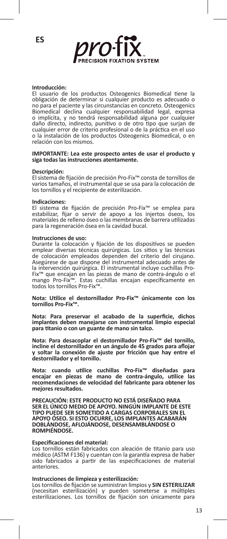

#### **Introducción:**

El usuario de los productos Osteogenics Biomedical tiene la obligación de determinar si cualquier producto es adecuado o no para el paciente y las circunstancias en concreto. Osteogenics Biomedical declina cualquier responsabilidad legal, expresa o implícita, y no tendrá responsabilidad alguna por cualquier daño directo, indirecto, punitivo o de otro tipo que surjan de cualquier error de criterio profesional o de la práctica en el uso o la instalación de los productos Osteogenics Biomedical, o en relación con los mismos.

#### **IMPORTANTE: Lea este prospecto antes de usar el producto y siga todas las instrucciones atentamente.**

#### **Descripción:**

El sistema de fijación de precisión Pro-Fix™ consta de tornillos de varios tamaños, el instrumental que se usa para la colocación de los tornillos y el recipiente de esterilización.

#### **Indicaciones:**

El sistema de fijación de precisión Pro-Fix™ se emplea para estabilizar, fijar o servir de apoyo a los injertos óseos, los materiales de relleno óseo o las membranas de barrera utilizadas para la regeneración ósea en la cavidad bucal.

#### **Instrucciones de uso:**

Durante la colocación y fijación de los dispositivos se pueden emplear diversas técnicas quirúrgicas. Los sitios y las técnicas de colocación empleados dependen del criterio del cirujano. Asegúrese de que dispone del instrumental adecuado antes de la intervención quirúrgica. El instrumental incluye cuchillas Pro-Fix™ que encajan en las piezas de mano de contra-ángulo o el mango Pro-Fix™. Estas cuchillas encajan específicamente en todos los tornillos Pro-Fix™.

**Nota: Utilice el destornillador Pro-Fix™ únicamente con los tornillos Pro-Fix™.**

**Nota: Para preservar el acabado de la superficie, dichos implantes deben manejarse con instrumental limpio especial para titanio o con un guante de mano sin talco.**

**Nota: Para desacoplar el destornillador Pro-Fix™ del tornillo, incline el destornillador en un ángulo de 45 grados para aflojar y soltar la conexión de ajuste por fricción que hay entre el destornillador y el tornillo.**

**Nota: cuando utilice cuchillas Pro-Fix™ diseñadas para encajar en piezas de mano de contra-ángulo, utilice las recomendaciones de velocidad del fabricante para obtener los mejores resultados.**

**PRECAUCIÓN: ESTE PRODUCTO NO ESTÁ DISEÑADO PARA SER EL ÚNICO MEDIO DE APOYO. NINGÚN IMPLANTE DE ESTE TIPO PUEDE SER SOMETIDO A CARGAS CORPORALES SIN EL APOYO ÓSEO. SI ESTO OCURRE, LOS IMPLANTES ACABARÁN DOBLÁNDOSE, AFLOJÁNDOSE, DESENSAMBLÁNDOSE O ROMPIÉNDOSE.**

#### **Especificaciones del material:**

Los tornillos están fabricados con aleación de titanio para uso médico (ASTM F136) y cuentan con la garantía expresa de haber sido fabricados a partir de las especificaciones de material anteriores.

#### **Instrucciones de limpieza y esterilización:**

Los tornillos de fijación se suministran limpios y **SIN ESTERILIZAR** (necesitan esterilización) y pueden someterse a múltiples esterilizaciones. Los tornillos de fijación son únicamente para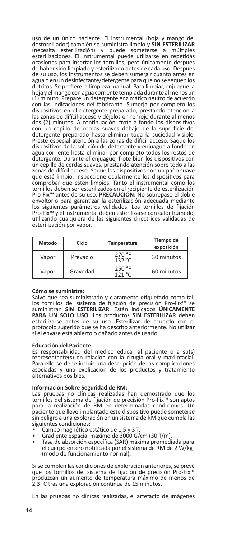uso de un único paciente. El instrumental (hoja y mango del destornillador) también se suministra limpio y **SIN ESTERILIZAR** (necesita esterilización) y puede someterse a múltiples esterilizaciones. El instrumental puede utilizarse en repetidas ocasiones para insertar los tornillos, pero únicamente después de haber sido limpiado y esterilizado antes de cada uso. Después de su uso, los instrumentos se deben sumergir cuanto antes en agua o en un desinfectante/detergente para que no se sequen los detritos. Se prefiere la limpieza manual. Para limpiar, enjuague la hoja y el mango con agua corriente templada durante al menos un (1) minuto. Prepare un detergente enzimático neutro de acuerdo con las indicaciones del fabricante. Sumerja por completo los dispositivos en el detergente preparado, prestando atención a las zonas de difícil acceso y déjelos en remojo durante al menos dos (2) minutos. A continuación, frote a fondo los dispositivos con un cepillo de cerdas suaves debajo de la superficie del detergente preparado hasta eliminar toda la suciedad visible. Preste especial atención a las zonas de difícil acceso. Saque los dispositivos de la solución de detergente y enjuague a fondo en agua corriente hasta eliminar por completo todos los restos de detergente. Durante el enjuague, frote bien los dispositivos con un cepillo de cerdas suaves, prestando atención sobre todo a las zonas de difícil acceso. Seque los dispositivos con un paño suave que esté limpio. Inspeccione ocularmente los dispositivos para comprobar que estén limpios. Tanto el instrumental como los tornillos deben ser esterilizados en el recipiente de esterilización Pro-Fix™ antes de su uso. **PRECAUCIÓN:** No sobrepase el doble envoltorio para garantizar la esterilización adecuada mediante los siguientes parámetros validados. Los tornillos de fijación Pro-Fix™ y el instrumental deben esterilizarse con calor húmedo, utilizando cualquiera de las siguientes directrices validadas de esterilización por vapor.

| Método | Ciclo    | Temperatura      | Tiempo de<br>exposición |
|--------|----------|------------------|-------------------------|
| Vapor  | Prevacío | 270 °F<br>132 °C | 30 minutos              |
| Vapor  | Gravedad | 250 °F<br>121 °C | 60 minutos              |

#### **Cómo se suministra:**

Salvo que sea suministrado y claramente etiquetado como tal,<br>los tornillos del sistema de fijación de precisión Pro-Fix<sup>m</sup> se<br>suministran SIN ESTERILIZAR. Están indicados ÚNICAMENTE<br>PARA UN SOLO USO. Los productos SIN ESTE esterilizarse antes de su uso. Esterilizar de acuerdo con el protocolo sugerido que se ha descrito anteriormente. No utilizar si el envase está abierto o dañado antes de usarlo.

#### **Educación del Paciente:**

Es responsabilidad del médico educar al paciente o a su(s) representante(s) en relación con la cirugía oral y maxilofacial. Para ello se debe incluir una descripción de las complicaciones asociadas y una explicación de los productos y tratamiento alternativos posibles.

#### **Información Sobre Seguridad de RM:**

Las pruebas no clínicas realizadas han demostrado que los tornillos del sistema de fijación de precisión Pro-Fix™ son aptos para la realización de RM en determinadas condiciones. Un paciente que lleve implantado este dispositivo puede someterse sin peligro a una exploración en un sistema de RM que cumpla las siguientes condiciones:<br>• Campo magnético estático de 1,5 y 3 T.

- 
- 
- Gradiente espacial máximo de 3000 G/cm (30 T/m).<br>• Tasa de absorción específica (SAR) máxima promediada para el cuerpo entero notificada por el sistema de RM de 2 W/kg (modo de funcionamiento normal).

Si se cumplen las condiciones de exploración anteriores, se prevé que los tornillos del sistema de fijación de precisión Pro-Fix™ produzcan un aumento de temperatura máximo de menos de 2,3 °C tras una exploración continua de 15 minutos.

En las pruebas no clínicas realizadas, el artefacto de imágenes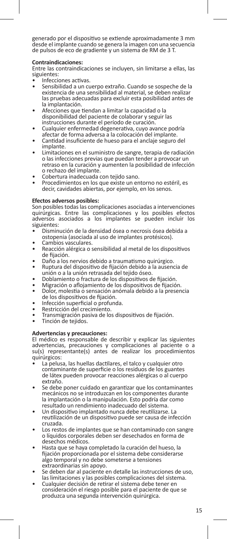generado por el dispositivo se extiende aproximadamente 3 mm desde el implante cuando se genera la imagen con una secuencia de pulsos de eco de gradiente y un sistema de RM de 3 T.

#### **Contraindicaciones:**

Entre las contraindicaciones se incluyen, sin limitarse a ellas, las siguientes:<br>• Infecciones activas.

- 
- Sensibilidad a un cuerpo extraño. Cuando se sospeche de la existencia de una sensibilidad al material, se deben realizar las pruebas adecuadas para excluir esta posibilidad antes de
- Afecciones que tiendan a limitar la capacidad o la disponibilidad del paciente de colaborar y seguir las instrucciones durante el período de curación.
- Cualquier enfermedad degenerativa, cuyo avance podría<br>afectar de forma adversa a la colocación del implante.
- Cantidad insuficiente de hueso para el anclaje seguro del implante.
- Limitaciones en el suministro de sangre, terapia de radiación o las infecciones previas que puedan tender a provocar un retraso en la curación y aumenten la posibilidad de infección
- 
- Cobertura inadecuada con tejido sano.<br>• Procedimientos en los que existe un entorno no estéril, es decir, cavidades abiertas, por ejemplo, en los senos.

#### **Efectos adversos posibles:**

Son posibles todas las complicaciones asociadas a intervenciones quirúrgicas. Entre las complicaciones y los posibles efectos adversos asociados a los implantes se pueden incluir los siguientes:

- Disminución de la densidad ósea o necrosis ósea debida a ostopenia (asociada al uso de implantes protésicos).
- 
- ostopenia vasculares.<br>• Reacción alérgica o sensibilidad al metal de los dispositivos<br>de fijación.
- 
- de fijación. Daño a los nervios debido a traumatismo quirúrgico. Ruptura del dispositivo de fijación debido a la ausencia de
- 
- 
- Doblamiento o fractura de los dispositivos de fijación.<br>Migración o aflojamiento de los dispositivos de fijación.<br>Dolor, molestia o sensación anómala debido a la presencia<br>de los dispositivos de fijación.
- 
- 
- de los dispositivos de final o profunda.<br>• Restricción del crecimiento.<br>• Transmigración pasiva de los dispositivos de fijación.<br>• Tinción de tejidos.
- 

### **Advertencias y precauciones:**

El médico es responsable de describir y explicar las siguientes advertencias, precauciones y complicaciones al paciente o a su(s) representante(s) antes de realizar los procedimientos quirúrgicos:

- La pelusa, las huellas dactilares, el talco y cualquier otro contaminante de superficie o los residuos de los guantes de látex pueden provocar reacciones alérgicas o al cuerpo
- Se debe poner cuidado en garantizar que los contaminantes mecánicos no se introduzcan en los componentes durante la implantación o la manipulación. Esto podría dar como resultado un rendimiento inadecuado del sistema.
- Un dispositivo implantado nunca debe reutilizarse. La reutilización de un dispositivo puede ser causa de infección
- Los restos de implantes que se han contaminado con sangre o líquidos corporales deben ser desechados en forma de
- Hasta que se haya completado la curación del hueso, la fijación proporcionada por el sistema debe considerarse algo temporal y no debe someterse a tensiones<br>extraordinarias sin apovo.
- Se deben dar al paciente en detalle las instrucciones de uso, las limitaciones y las posibles complicaciones del sistema.<br>Cualquier decisión de retirar el sistema debe tener en
- consideración el riesgo posible para el paciente de que se produzca una segunda intervención quirúrgica.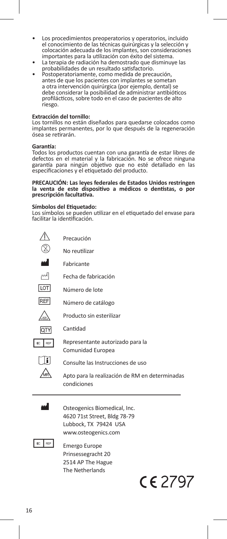- Los procedimientos preoperatorios y operatorios, incluido el conocimiento de las técnicas quirúrgicas y la selección y colocación adecuada de los implantes, son consideraciones importantes para la utilización con éxito del sistema. • La terapia de radiación ha demostrado que disminuye las
- probabilidades de un resultado satisfactorio. Postoperatoriamente, como medida de precaución,
- antes de que los pacientes con implantes se sometan a otra intervención quirúrgica (por ejemplo, dental) se debe considerar la posibilidad de administrar antibióticos profilácticos, sobre todo en el caso de pacientes de alto riesgo.

#### **Extracción del tornillo:**

Los tornillos no están diseñados para quedarse colocados como implantes permanentes, por lo que después de la regeneración ósea se retirarán.

#### **Garantía:**

Todos los productos cuentan con una garantía de estar libres de defectos en el material y la fabricación. No se ofrece ninguna garantía para ningún objetivo que no esté detallado en las especificaciones y el etiquetado del producto.

#### **PRECAUCIÓN: Las leyes federales de Estados Unidos restringen la venta de este dispositivo a médicos o dentistas, o por prescripción facultativa.**

#### **Símbolos del Etiquetado:**

Los símbolos se pueden utilizar en el etiquetado del envase para facilitar la identificación.

|            | Precaución                                                    |
|------------|---------------------------------------------------------------|
|            | No reutilizar                                                 |
|            | Fabricante                                                    |
| М          | Fecha de fabricación                                          |
| LOT        | Número de lote                                                |
| <b>REF</b> | Número de catálogo                                            |
|            | Producto sin esterilizar                                      |
| QΤ         | Cantidad                                                      |
| REP        | Representante autorizado para la<br>Comunidad Europea         |
|            | Consulte las Instrucciones de uso                             |
|            | Apto para la realización de RM en determinadas<br>condiciones |
|            |                                                               |

Osteogenics Biomedical, Inc. 4620 71st Street, Bldg 78-79 Lubbock, TX 79424 USA www.osteogenics.com



**EC** REP Emergo Europe Prinsessegracht 20 2514 AP The Hague The Netherlands

C2797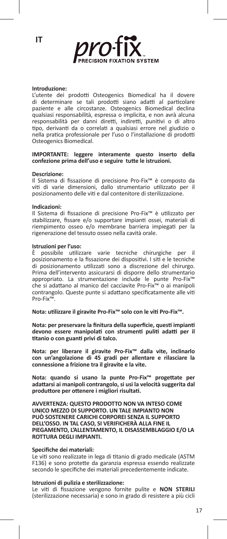

#### **Introduzione:**

L'utente dei prodotti Osteogenics Biomedical ha il dovere di determinare se tali prodotti siano adatti al particolare paziente e alle circostanze. Osteogenics Biomedical declina qualsiasi responsabilità, espressa o implicita, e non avrà alcuna responsabilità per danni diretti, indiretti, punitivi o di altro tipo, derivanti da o correlati a qualsiasi errore nel giudizio o nella pratica professionale per l'uso o l'installazione di prodotti Osteogenics Biomedical.

#### **IMPORTANTE: leggere interamente questo inserto della confezione prima dell'uso e seguire tutte le istruzioni.**

#### **Descrizione:**

Il Sistema di fissazione di precisione Pro-Fix™ è composto da viti di varie dimensioni, dallo strumentario utilizzato per il posizionamento delle viti e dal contenitore di sterilizzazione.

#### **Indicazioni:**

Il Sistema di fissazione di precisione Pro-Fix™ è utilizzato per stabilizzare, fissare e/o supportare impianti ossei, materiali di riempimento osseo e/o membrane barriera impiegati per la rigenerazione del tessuto osseo nella cavità orale.

## **Istruzioni per l'uso:**<br>È possibile utilizi

È possibile utilizzare varie tecniche chirurgiche per il posizionamento e la fissazione dei dispositivi. I siti e le tecniche di posizionamento utilizzati sono a discrezione del chirurgo. Prima dell'intervento assicurarsi di disporre dello strumentario appropriato. La strumentazione include le punte Pro-Fix™ che si adattano al manico del cacciavite Pro-Fix™ o ai manipoli contrangolo. Queste punte si adattano specificatamente alle viti Pro-Fix™.

**Nota: utilizzare il giravite Pro-Fix™ solo con le viti Pro-Fix™.**

**Nota: per preservare la finitura della superficie, questi impianti devono essere manipolati con strumenti puliti adatti per il titanio o con guanti privi di talco.**

**Nota: per liberare il giravite Pro-Fix™ dalla vite, inclinarlo con un'angolazione di 45 gradi per allentare e rilasciare la connessione a frizione tra il giravite e la vite.**

**Nota: quando si usano la punte Pro-Fix™ progettate per adattarsi ai manipoli contrangolo, si usi la velocità suggerita dal produttore per ottenere i migliori risultati.**

**AVVERTENZA: QUESTO PRODOTTO NON VA INTESO COME UNICO MEZZO DI SUPPORTO. UN TALE IMPIANTO NON PUÒ SOSTENERE CARICHI CORPOREI SENZA IL SUPPORTO DELL'OSSO. IN TAL CASO, SI VERIFICHERÀ ALLA FINE IL PIEGAMENTO, L'ALLENTAMENTO, IL DISASSEMBLAGGIO E/O LA ROTTURA DEGLI IMPIANTI.**

#### **Specifiche dei materiali:**

Le viti sono realizzate in lega di titanio di grado medicale (ASTM F136) e sono protette da garanzia espressa essendo realizzate secondo le specifiche dei materiali precedentemente indicate.

#### **Istruzioni di pulizia e sterilizzazione:**

Le viti di fissazione vengono fornite pulite e **NON STERILI** (sterilizzazione necessaria) e sono in grado di resistere a più cicli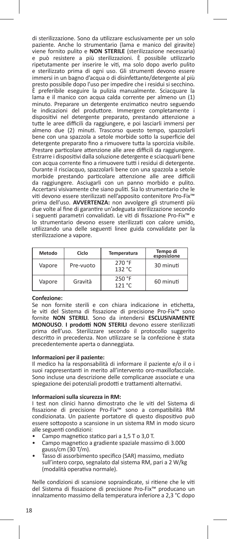di sterilizzazione. Sono da utilizzare esclusivamente per un solo paziente. Anche lo strumentario (lama e manico del giravite) viene fornito pulito e **NON STERILE** (sterilizzazione necessaria) e può resistere a più sterilizzazioni. È possibile utilizzarlo ripetutamente per inserire le viti, ma solo dopo averlo pulito e sterilizzato prima di ogni uso. Gli strumenti devono essere immersi in un bagno d'acqua o di disinfettante/detergente al più presto possibile dopo l'uso per impedire che i residui si secchino. È preferibile eseguire la pulizia manualmente. Sciacquare la lama e il manico con acqua calda corrente per almeno un (1) minuto. Preparare un detergente enzimatico neutro seguendo le indicazioni del produttore. Immergere completamente i dispositivi nel detergente preparato, prestando attenzione a tutte le aree difficili da raggiungere, e poi lasciarli immersi per almeno due (2) minuti. Trascorso questo tempo, spazzolarli bene con una spazzola a setole morbide sotto la superficie del detergente preparato fino a rimuovere tutta la sporcizia visibile. Prestare particolare attenzione alle aree difficili da raggiungere. Estrarre i dispositivi dalla soluzione detergente e sciacquarli bene con acqua corrente fino a rimuovere tutti i residui di detergente. Durante il risciacquo, spazzolarli bene con una spazzola a setole morbide prestando particolare attenzione alle aree difficili da raggiungere. Asciugarli con un panno morbido e pulito. Accertarsi visivamente che siano puliti. Sia lo strumentario che le viti devono essere sterilizzati nell'apposito contenitore Pro-Fix™ prima dell'uso. **AVVERTENZA:** non avvolgere gli strumenti più due volte al fine di garantire un'adeguata sterilizzazione secondo i seguenti parametri convalidati. Le viti di fissazione Pro-Fix™ e lo strumentario devono essere sterilizzati con calore umido, utilizzando una delle seguenti linee guida convalidate per la sterilizzazione a vapore.

| Metodo | Ciclo     | Temperatura      | Tempo di<br>esposizione |
|--------|-----------|------------------|-------------------------|
| Vapore | Pre-vuoto | 270 °F<br>132 °C | 30 minuti               |
| Vapore | Gravità   | 250 °F<br>121 °C | 60 minuti               |

#### **Confezione:**

Se non fornite sterili e con chiara indicazione in etichetta, le viti del Sistema di fissazione di precisione Pro-Fix™ sono fornite **NON STERILI**. Sono da intendersi **ESCLUSIVAMENTE MONOUSO**. **I prodotti NON STERILI** devono essere sterilizzati prima dell'uso. Sterilizzare secondo il protocollo suggerito descritto in precedenza. Non utilizzare se la confezione è stata precedentemente aperta o danneggiata.

#### **Informazioni per il paziente:**

Il medico ha la responsabilità di informare il paziente e/o il o i suoi rappresentanti in merito all'intervento oro-maxillofacciale. Sono incluse una descrizione delle complicanze associate e una spiegazione dei potenziali prodotti e trattamenti alternativi.

#### **Informazioni sulla sicurezza in RM:**

I test non clinici hanno dimostrato che le viti del Sistema di fissazione di precisione Pro-Fix™ sono a compatibilità RM condizionata. Un paziente portatore di questo dispositivo può essere sottoposto a scansione in un sistema RM in modo sicuro alle seguenti condizioni:

- Campo magnetico statico pari a 1,5 T o 3,0 T.
- Campo magnetico a gradiente spaziale massimo di 3.000 gauss/cm (30 T/m).
- Tasso di assorbimento specifico (SAR) massimo, mediato sull'intero corpo, segnalato dal sistema RM, pari a 2 W/kg (modalità operativa normale).

Nelle condizioni di scansione sopraindicate, si ritiene che le viti del Sistema di fissazione di precisione Pro-Fix™ producano un innalzamento massimo della temperatura inferiore a 2,3 °C dopo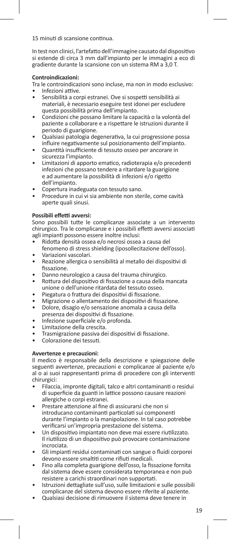15 minuti di scansione continua.

In test non clinici, l'artefatto dell'immagine causato dal dispositivo si estende di circa 3 mm dall'impianto per le immagini a eco di gradiente durante la scansione con un sistema RM a 3,0 T.

#### **Controindicazioni:**

Tra le controindicazioni sono incluse, ma non in modo esclusivo:

- Infezioni attive.
- Sensibilità a corpi estranei. Ove si sospetti sensibilità ai materiali, è necessario eseguire test idonei per escludere questa possibilità prima dell'impianto.
- Condizioni che possano limitare la capacità o la volontà del paziente a collaborare e a rispettare le istruzioni durante il periodo di guarigione.
- Qualsiasi patologia degenerativa, la cui progressione possa influire negativamente sul posizionamento dell'impianto.
- Quantità insufficiente di tessuto osseo per ancorare in sicurezza l'impianto.
- Limitazioni di apporto ematico, radioterapia e/o precedenti infezioni che possano tendere a ritardare la guarigione e ad aumentare la possibilità di infezioni e/o rigetto dell'impianto.
- Copertura inadeguata con tessuto sano.
- Procedure in cui vi sia ambiente non sterile, come cavità aperte quali sinusi.

### **Possibili effetti avversi:**

Sono possibili tutte le complicanze associate a un intervento chirurgico. Tra le complicanze e i possibili effetti avversi associati agli impianti possono essere inoltre inclusi:

- Ridotta densità ossea e/o necrosi ossea a causa del
- fenomeno di stress shielding (iposollecitazione dell'osso). • Variazioni vascolari.
- Reazione allergica o sensibilità al metallo dei dispositivi di fissazione.
- Danno neurologico a causa del trauma chirurgico.
- Rottura del dispositivo di fissazione a causa della mancata unione o dell'unione ritardata del tessuto osseo.
- Piegatura o frattura dei dispositivi di fissazione.
- Migrazione o allentamento dei dispositivi di fissazione.
- Dolore, disagio e/o sensazione anomala a causa della presenza dei dispositivi di fissazione.
- Infezione superficiale e/o profonda.
- Limitazione della crescita.
- Trasmigrazione passiva dei dispositivi di fissazione.
- Colorazione dei tessuti.

### **Avvertenze e precauzioni:**

Il medico è responsabile della descrizione e spiegazione delle seguenti avvertenze, precauzioni e complicanze al paziente e/o al o ai suoi rappresentanti prima di procedere con gli interventi chirurgici:

- Filaccia, impronte digitali, talco e altri contaminanti o residui di superficie da guanti in lattice possono causare reazioni allergiche o corpi estranei.
- Prestare attenzione al fine di assicurarsi che non si introducano contaminanti particolati sui componenti durante l'impianto o la manipolazione. In tal caso potrebbe verificarsi un'impropria prestazione del sistema.
- Un dispositivo impiantato non deve mai essere riutilizzato. Il riutilizzo di un dispositivo può provocare contaminazione incrociata.
- Gli impianti residui contaminati con sangue o fluidi corporei devono essere smaltiti come rifiuti medicali.
- Fino alla completa guarigione dell'osso, la fissazione fornita dal sistema deve essere considerata temporanea e non può resistere a carichi straordinari non supportati.
- Istruzioni dettagliate sull'uso, sulle limitazioni e sulle possibili complicanze del sistema devono essere riferite al paziente.
- Qualsiasi decisione di rimuovere il sistema deve tenere in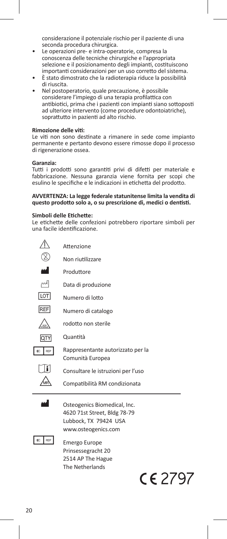considerazione il potenziale rischio per il paziente di una seconda procedura chirurgica.

- Le operazioni pre- e intra-operatorie, compresa la conoscenza delle tecniche chirurgiche e l'appropriata selezione e il posizionamento degli impianti, costituiscono importanti considerazioni per un uso corretto del sistema.
- È stato dimostrato che la radioterapia riduce la possibilità di riuscita.
- Nel postoperatorio, quale precauzione, è possibile considerare l'impiego di una terapia profilattica con antibiotici, prima che i pazienti con impianti siano sottoposti ad ulteriore intervento (come procedure odontoiatriche), soprattutto in pazienti ad alto rischio.

#### **Rimozione delle viti:**

Le viti non sono destinate a rimanere in sede come impianto permanente e pertanto devono essere rimosse dopo il processo di rigenerazione ossea.

#### **Garanzia:**

Tutti i prodotti sono garantiti privi di difetti per materiale e fabbricazione. Nessuna garanzia viene fornita per scopi che esulino le specifiche e le indicazioni in etichetta del prodotto.

#### **AVVERTENZA: La legge federale statunitense limita la vendita di questo prodotto solo a, o su prescrizione di, medici o dentisti.**

#### **Simboli delle Etichette:**

Le etichette delle confezioni potrebbero riportare simboli per una facile identificazione.

|            | Attenzione                                                                                                   |  |
|------------|--------------------------------------------------------------------------------------------------------------|--|
|            | Non riutilizzare                                                                                             |  |
|            | Produttore                                                                                                   |  |
| اسم        | Data di produzione                                                                                           |  |
| LOT        | Numero di lotto                                                                                              |  |
| <b>REF</b> | Numero di catalogo                                                                                           |  |
|            | rodotto non sterile                                                                                          |  |
| <b>QTY</b> | Quantità                                                                                                     |  |
| REP<br>EC  | Rappresentante autorizzato per la<br>Comunità Europea                                                        |  |
|            | Consultare le istruzioni per l'uso                                                                           |  |
|            | Compatibilità RM condizionata                                                                                |  |
|            | Osteogenics Biomedical, Inc.<br>4620 71st Street, Bldg 78-79<br>Lubbock, TX 79424 USA<br>www.osteogenics.com |  |
| FC RFP     |                                                                                                              |  |

**PEP** Emergo Europe Prinsessegracht 20 2514 AP The Hague The Netherlands

 $C<sub>6</sub>$  2797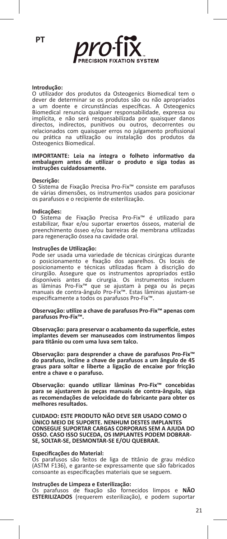

#### **Introdução:**

O utilizador dos produtos da Osteogenics Biomedical tem o dever de determinar se os produtos são ou não apropriados a um doente e circunstâncias específicas. A Osteogenics Biomedical renuncia qualquer responsabilidade, expressa ou implícita, e não será responsabilizada por quaisquer danos directos, indirectos, punitivos ou outros, decorrentes ou relacionados com quaisquer erros no julgamento profissional ou prática na utilização ou instalação dos produtos da Osteogenics Biomedical.

#### **IMPORTANTE: Leia na íntegra o folheto informativo da embalagem antes de utilizar o produto e siga todas as instruções cuidadosamente.**

#### **Descrição:**

O Sistema de Fixação Precisa Pro-Fix™ consiste em parafusos de várias dimensões, os instrumentos usados para posicionar os parafusos e o recipiente de esterilização.

#### **Indicações:**

O Sistema de Fixação Precisa Pro-Fix™ é utilizado para estabilizar, fixar e/ou suportar enxertos ósseos, material de preenchimento ósseo e/ou barreiras de membrana utilizadas para regeneração óssea na cavidade oral.

#### **Instruções de Utilização:**

Pode ser usada uma variedade de técnicas cirúrgicas durante o posicionamento e fixação dos aparelhos. Os locais de posicionamento e técnicas utilizadas ficam à discrição do cirurgião. Assegure que os instrumentos apropriados estão disponíveis antes da cirurgia. Os instrumentos incluem as lâminas Pro-Fix™ que se ajustam à pega ou às peças manuais de contra-ângulo Pro-Fix™. Estas lâminas ajustam-se especificamente a todos os parafusos Pro-Fix™.

#### **Observação: utilize a chave de parafusos Pro-Fix™ apenas com parafusos Pro-Fix™.**

**Observação: para preservar o acabamento da superfície, estes implantes devem ser manuseados com instrumentos limpos para titânio ou com uma luva sem talco.**

**Observação: para desprender a chave de parafusos Pro-Fix™ do parafuso, incline a chave de parafusos a um ângulo de 45 graus para soltar e liberte a ligação de encaixe por fricção entre a chave e o parafuso.**

**Observação: quando utilizar lâminas Pro-Fix™ concebidas para se ajustarem às peças manuais de contra-ângulo, siga as recomendações de velocidade do fabricante para obter os melhores resultados.**

**CUIDADO: ESTE PRODUTO NÃO DEVE SER USADO COMO O ÚNICO MEIO DE SUPORTE. NENHUM DESTES IMPLANTES CONSEGUE SUPORTAR CARGAS CORPORAIS SEM A AJUDA DO OSSO. CASO ISSO SUCEDA, OS IMPLANTES PODEM DOBRAR-SE, SOLTAR-SE, DESMONTAR-SE E/OU QUEBRAR.**

#### **Especificações do Material:**

Os parafusos são feitos de liga de titânio de grau médico (ASTM F136), e garante-se expressamente que são fabricados consoante as especificações materiais que se seguem.

#### **Instruções de Limpeza e Esterilização:**

Os parafusos de fixação são fornecidos limpos e **NÃO ESTERILIZADOS** (requerem esterilização), e podem suportar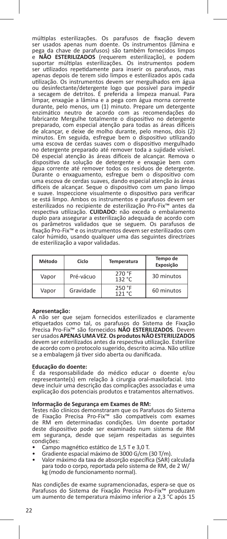múltiplas esterilizações. Os parafusos de fixação devem ser usados apenas num doente. Os instrumentos (lâmina e pega da chave de parafusos) são também fornecidos limpos e **NÃO ESTERILIZADOS** (requerem esterilização), e podem suportar múltiplas esterilizações. Os instrumentos podem ser utilizados repetidamente para inserir os parafusos, mas apenas depois de terem sido limpos e esterilizados após cada utilização. Os instrumentos devem ser mergulhados em água ou desinfectante/detergente logo que possível para impedir a secagem de detritos. É preferida a limpeza manual. Para limpar, enxagúe a lâmina e a pega com água morna corrente durante, pelo menos, um (1) minuto. Prepare um detergente enzimático neutro de acordo com as recomendações do fabricante Mergulhe totalmente o dispositivo no detergente preparado, com especial atenção para todas as áreas difíceis de alcançar, e deixe de molho durante, pelo menos, dois (2) minutos. Em seguida, esfregue bem o dispositivo utilizando uma escova de cerdas suaves com o dispositivo mergulhado no detergente preparado até remover toda a sujidade visível. Dê especial atenção às áreas difíceis de alcançar. Remova o dispositivo da solução de detergente e enxagúe bem com água corrente até remover todos os resíduos de detergente. Durante o enxaguamento, esfregue bem o dispositivo com uma escova de cerdas suaves, dando especial atenção às áreas difíceis de alcançar. Seque o dispositivo com um pano limpo e suave. Inspeccione visualmente o dispositivo para verificar se está limpo. Ambos os instrumentos e parafusos devem ser esterilizados no recipiente de esterilização Pro-Fix™ antes da respectiva utilização. **CUIDADO:** não exceda o embalamento duplo para assegurar a esterilização adequada de acordo com os parâmetros validados que se seguem. Os parafusos de fixação Pro-Fix™ e os instrumentos devem ser esterilizados com calor húmido, usando qualquer uma das seguintes directrizes de esterilização a vapor validadas.

| Método | Ciclo     | Temperatura      | Tempo de<br>Exposição |
|--------|-----------|------------------|-----------------------|
| Vapor  | Pré-vácuo | 270 °F<br>132 °C | 30 minutos            |
| Vapor  | Gravidade | 250 °F<br>121 °C | 60 minutos            |

#### **Apresentação:**

A não ser que sejam fornecidos esterilizados e claramente etiquetados como tal, os parafusos do Sistema de Fixação Precisa Pro-Fix™ são fornecidos **NÃO ESTERILIZADOS**. Devem ser usados **APENAS UMA VEZ**. **Os produtos NÃO ESTERILIZADOS** devem ser esterilizados antes da respectiva utilização. Esterilize de acordo com o protocolo sugerido, descrito acima. Não utilize se a embalagem já tiver sido aberta ou danificada.

#### **Educação do doente:**

É da responsabilidade do médico educar o doente e/ou representante(s) em relação à cirurgia oral-maxilofacial. Isto deve incluir uma descrição das complicações associadas e uma explicação dos potenciais produtos e tratamentos alternativos.

#### **Informação de Segurança em Exames de RM:**

Testes não clínicos demonstraram que os Parafusos do Sistema de Fixação Precisa Pro-Fix™ são compatíveis com exames de RM em determinadas condições. Um doente portador deste dispositivo pode ser examinado num sistema de RM em segurança, desde que sejam respeitadas as seguintes

- condições:<br>• Campo magnético estático de 1,5 T e 3,0 T.
- Campo magnético estático de 1,5 T e 3,0 T. Gradiente espacial máximo de 3000 G/cm (30 T/m). Valor máximo da taxa de absorção específica (SAR) calculada
- para todo o corpo, reportada pelo sistema de RM, de 2 W/ kg (modo de funcionamento normal).

Nas condições de exame supramencionadas, espera-se que os Parafusos do Sistema de Fixação Precisa Pro-Fix™ produzam um aumento de temperatura máximo inferior a 2,3 °C após 15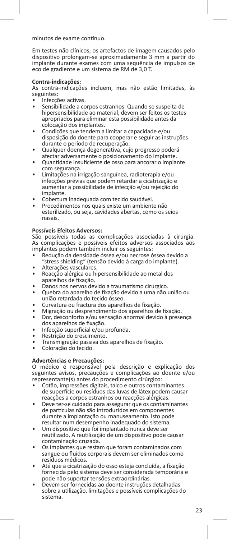minutos de exame contínuo.

Em testes não clínicos, os artefactos de imagem causados pelo dispositivo prolongam-se aproximadamente 3 mm a partir do implante durante exames com uma sequência de impulsos de eco de gradiente e um sistema de RM de 3,0 T.

#### **Contra-indicações:**

As contra-indicações incluem, mas não estão limitadas, às seguintes:<br>• Infecções activas.

- 
- Sensibilidade a corpos estranhos. Quando se suspeita de hipersensibilidade ao material, devem ser feitos os testes apropriados para eliminar esta possibilidade antes da
- Condições que tendem a limitar a capacidade e/ou disposição do doente para cooperar e seguir as instruções
- Qualquer doença degenerativa, cujo progresso poderá<br>afectar adversamente o posicionamento do implante.
- Quantidade insuficiente de osso para ancorar o implante<br>com seguranca.
- com segurança. Limitações na irrigação sanguínea, radioterapia e/ou infecções prévias que podem retardar a cicatrização e aumentar a possibilidade de infecção e/ou rejeição do
- Cobertura inadequada com tecido saudável.<br>Procedimentos nos quais existe um ambiente não
- esterilizado, ou seja, cavidades abertas, como os seios nasais.

### **Possíveis Efeitos Adversos:**

São possíveis todas as complicações associadas à cirurgia. As complicações e possíveis efeitos adversos associados aos implantes podem também incluir os seguintes:

- Redução da densidade óssea e/ou necrose óssea devido a<br>"stress shielding" (tensão devido à carga do implante).
- 
- Alterações vasculares.<br>• Reacção alérgica ou hipersensibilidade ao metal dos<br>• aparelhos de fixação.
- 
- Danos nos nervos devido a traumatismo cirúrgico.<br>Quebra do aparelho de fixação devido a uma não união ou<br>união retardada do tecido ósseo.
- 
- união retardada do tecido ósseo. Curvatura ou fractura dos aparelhos de fixação. Migração ou desprendimento dos aparelhos de fixação. Dor, desconforto e/ou sensação anormal devido à presença
- 
- 
- 
- Infecção superficial e/ou profunda.<br>• Restrição do crescimento.<br>• Transmigração passiva dos aparelhos de fixação.<br>• Coloração do tecido.
- 

### **Advertências e Precauções:**

O médico é responsável pela descrição e explicação dos seguintes avisos, precauções e complicações ao doente e/ou representante(s) antes do procedimento cirúrgico:

- Cotão, impressões digitais, talco e outros contaminantes de superfície ou resíduos das luvas de látex podem causar<br>reacções a corpos estranhos ou reacções alérgicas.
- Deve ter-se cuidado para assegurar que os contaminantes de partículas não são introduzidos em componentes durante a implantação ou manuseamento. Isto pode
- Um dispositivo que foi implantado nunca deve ser reutilizado. A reutilização de um dispositivo pode causar
- Os implantes que restam que foram contaminados com sangue ou fluidos corporais devem ser eliminados como resíduos médicos.
- Até que a cicatrização do osso esteja concluída, a fixação fornecida pelo sistema deve ser considerada temporária e<br>pode não suportar tensões extraordinárias.
- Devem ser fornecidas ao doente instruções detalhadas sobre a utilização, limitações e possíveis complicações do sistema.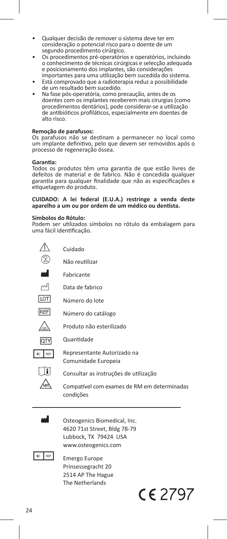- Qualquer decisão de remover o sistema deve ter em consideração o potencial risco para o doente de um
- Os procedimentos pré-operatórios e operatórios, incluindo o conhecimento de técnicas cirúrgicas e selecção adequada e posicionamento dos implantes, são considerações
- Está comprovado que a radioterapia reduz a possibilidade<br>de um resultado bem sucedido.
- Na fase pós-operatória, como precaução, antes de os doentes com os implantes receberem mais cirurgias (como procedimentos dentários), pode considerar-se a utilização de antibióticos profiláticos, especialmente em doentes de alto risco.

#### **Remoção de parafusos:**

Os parafusos não se destinam a permanecer no local como um implante definitivo, pelo que devem ser removidos após o processo de regeneração óssea.

#### **Garantia:**

Todos os produtos têm uma garantia de que estão livres de defeitos de material e de fabrico. Não é concedida qualquer garantia para qualquer finalidade que não as especificações e etiquetagem do produto.

#### **CUIDADO: A lei federal (E.U.A.) restringe a venda deste aparelho a um ou por ordem de um médico ou dentista.**

#### **Símbolos do Rótulo:**

Podem ser utilizados símbolos no rótulo da embalagem para uma fácil identificação.

|            | Cuidado                                                  |
|------------|----------------------------------------------------------|
|            | Não reutilizar                                           |
|            | Fabricante                                               |
| اسم        | Data de fabrico                                          |
| LOT        | Número do lote                                           |
| <b>REF</b> | Número do catálogo                                       |
|            | Produto não esterilizado                                 |
| <b>QTY</b> | Quantidade                                               |
| REP        | Representante Autorizado na<br>Comunidade Europeia       |
|            | Consultar as instruções de utilização                    |
|            | Compatível com exames de RM em determinadas<br>condições |
|            | Osteogenics Biomedical, Inc.                             |

 4620 71st Street, Bldg 78-79 Lubbock, TX 79424 USA www.osteogenics.com



 $E = \frac{R}{P}$  Emergo Europe Prinsessegracht 20 2514 AP The Hague The Netherlands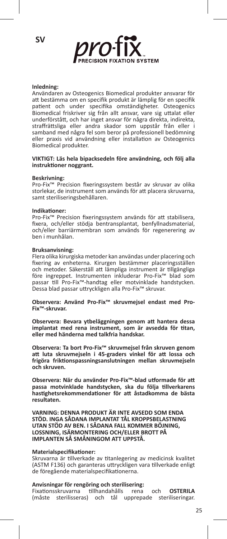

#### **Inledning:**

Användaren av Osteogenics Biomedical produkter ansvarar för att bestämma om en specifik produkt är lämplig för en specifik patient och under specifika omständigheter. Osteogenics Biomedical friskriver sig från allt ansvar, vare sig uttalat eller underförstått, och har inget ansvar för några direkta, indirekta, straffrättsliga eller andra skador som uppstår från eller i samband med några fel som beror på professionell bedömning eller praxis vid användning eller installation av Osteogenics Biomedical produkter.

#### **VIKTIGT: Läs hela bipacksedeln före användning, och följ alla instruktioner noggrant.**

#### **Beskrivning:**

Pro-Fix™ Precision fixeringssystem består av skruvar av olika storlekar, de instrument som används för att placera skruvarna, samt steriliseringsbehållaren.

#### **Indikationer:**

Pro-Fix™ Precision fixeringssystem används för att stabilisera, fixera, och/eller stödja bentransplantat, benfyllnadsmaterial, och/eller barriärmembran som används för regenerering av ben i munhålan.

#### **Bruksanvisning:**

Flera olika kirurgiska metoder kan användas under placering och fixering av enheterna. Kirurgen bestämmer placeringsställen och metoder. Säkerställ att lämpliga instrument är tillgängliga före ingreppet. Instrumenten inkluderar Pro-Fix™ blad som passar till Pro-Fix™-handtag eller motvinklade handstycken. Dessa blad passar uttryckligen alla Pro-Fix™ skruvar.

**Observera: Använd Pro-Fix™ skruvmejsel endast med Pro-Fix™-skruvar.**

**Observera: Bevara ytbeläggningen genom att hantera dessa implantat med rena instrument, som är avsedda för titan, eller med händerna med talkfria handskar.**

**Observera: Ta bort Pro-Fix™ skruvmejsel från skruven genom att luta skruvmejseln i 45-graders vinkel för att lossa och frigöra friktionspassningsanslutningen mellan skruvmejseln och skruven.**

**Observera: När du använder Pro-Fix™-blad utformade för att passa motvinklade handstycken, ska du följa tillverkarens hastighetsrekommendationer för att åstadkomma de bästa resultaten.**

**VARNING: DENNA PRODUKT ÄR INTE AVSEDD SOM ENDA STÖD. INGA SÅDANA IMPLANTAT TÅL KROPPSBELASTNING UTAN STÖD AV BEN. I SÅDANA FALL KOMMER BÖJNING, LOSSNING, ISÄRMONTERING OCH/ELLER BROTT PÅ IMPLANTEN SÅ SMÅNINGOM ATT UPPSTÅ.**

#### **Materialspecifikationer:**

Skruvarna är tillverkade av titanlegering av medicinsk kvalitet (ASTM F136) och garanteras uttryckligen vara tillverkade enligt de föregående materialspecifikationerna.

#### **Anvisningar för rengöring och sterilisering:**

Fixationsskruvarna tillhandahålls rena och **OSTERILA** (måste sterilisseras) och tål upprepade steriliseringar.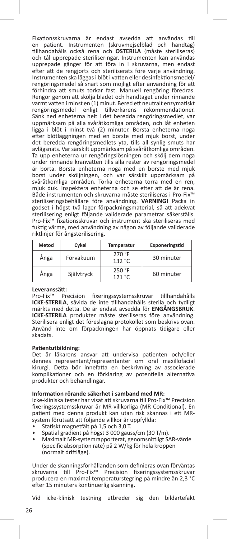Fixationsskruvarna är endast avsedda att användas till en patient. Instrumenten (skruvmejselblad och handtag) tillhandahålls också rena och **OSTERILA** (måste steriliseras) och tål upprepade steriliseringar. Instrumenten kan användas upprepade gånger för att föra in i skruvarna, men endast efter att de rengjorts och steriliserats före varje användning. Instrumenten ska läggas i blöt i vatten eller desinfektionsmedel/ rengöringsmedel så snart som möjligt efter användning för att förhindra att smuts torkar fast. Manuell rengöring föredras. Rengör genom att skölja bladet och handtaget under rinnande varmt vatten i minst en (1) minut. Bered ett neutralt enzymatiskt rengöringsmedel enligt tillverkarens rekommendationer. Sänk ned enheterna helt i det beredda rengöringsmedlet, var uppmärksam på alla svåråtkomliga områden, och låt enheten ligga i blöt i minst två (2) minuter. Borsta enheterna noga efter blötläggningen med en borste med mjuk borst, under det beredda rengöringsmedlets yta, tills all synlig smuts har avlägsnats. Var särskilt uppmärksam på svåråtkomliga områden. Ta upp enheterna ur rengöringslösningen och skölj dem noga under rinnande kranvatten tills alla rester av rengöringsmedel är borta. Borsta enheterna noga med en borste med mjuk borst under sköljningen, och var särskilt uppmärksam på svåråtkomliga områden. Torka enheterna torra med en ren, mjuk duk. Inspektera enheterna och se efter att de är rena. Både instrumenten och skruvarna måste steriliseras i Pro-Fix™ steriliseringsbehållare före användning. **VARNING!** Packa in godset i högst två lager förpackningsmaterial, så att adekvat sterilisering enligt följande validerade parametrar säkerställs. Pro-Fix™ fixationsskruvar och instrument ska steriliseras med fuktig värme, med användning av någon av följande validerade riktlinjer för ångsterilisering.

| Metod | Cykel      | Temperatur       | Exponeringstid |
|-------|------------|------------------|----------------|
| Ånga  | Förvakuum  | 270 °F<br>132 °C | 30 minuter     |
| Ånga  | Självtryck | 250 °F<br>121 °C | 60 minuter     |

#### **Leveranssätt:**

Pro-Fix™ Precision fixeringssystemsskruvar tillhandahålls **ICKE-STERILA**, såvida de inte tillhandahålls sterila och tydligt märkts med detta. De är endast avsedda för **ENGÅNGSBRUK**. **ICKE-STERILA** produkter måste steriliseras före användning. Sterilisera enligt det föreslagna protokollet som beskrivs ovan. Använd inte om förpackningen har öppnats tidigare eller skadats.

#### **Patientutbildning:**

Det är läkarens ansvar att undervisa patienten och/eller dennes representant/representanter om oral maxillofacial kirurgi. Detta bör innefatta en beskrivning av associerade komplikationer och en förklaring av potentiella alternativa produkter och behandlingar.

### **Information rörande säkerhet i samband med MR:**

Icke-kliniska tester har visat att skruvarna till Pro-Fix™ Precision fixeringssystemsskruvar är MR-villkorliga (MR Conditional). En patient med denna produkt kan utan risk skannas i ett MRsystem förutsatt att följande villkor är uppfyllda:

- Statiskt magnetfält på 1,5 och 3,0 T.
- Spatial gradient på högst 3 000 gauss/cm (30 T/m).
- Maximalt MR-systemrapporterat, genomsnittligt SAR-värde (specific absorption rate) på 2 W/kg för hela kroppen (normalt driftläge).

Under de skanningsförhållanden som definieras ovan förväntas skruvarna till Pro-Fix™ Precision fixeringssystemsskruvar producera en maximal temperaturstegring på mindre än 2,3 °C efter 15 minuters kontinuerlig skanning.

Vid icke-klinisk testning utbreder sig den bildartefakt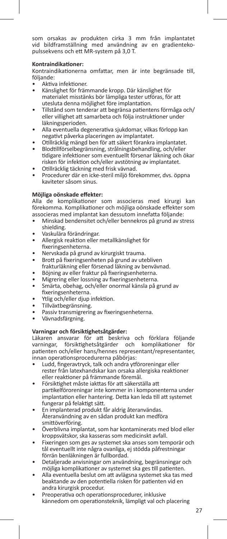som orsakas av produkten cirka 3 mm från implantatet vid bildframställning med användning av en gradientekopulssekvens och ett MR-system på 3,0 T.

#### **Kontraindikationer:**

Kontraindikationerna omfattar, men är inte begränsade till, följande:

- Aktiva infektioner.
- Känslighet för främmande kropp. Där känslighet för materialet misstänks bör lämpliga tester utföras, för att utesluta denna möjlighet före implantation.
- Tillstånd som tenderar att begränsa patientens förmåga och/ eller villighet att samarbeta och följa instruktioner under läkningsperioden.
- Alla eventuella degenerativa sjukdomar, vilkas förlopp kan negativt påverka placeringen av implantatet.
- Otillräcklig mängd ben för att säkert förankra implantatet.
- Blodtillförselbegränsning, strålningsbehandling, och/eller tidigare infektioner som eventuellt försenar läkning och ökar risken för infektion och/eller avstötning av implantatet.
- Otillräcklig täckning med frisk vävnad.
- Procedurer där en icke-steril miljö förekommer, dvs. öppna kaviteter såsom sinus.

#### **Möjliga oönskade effekter:**

Alla de komplikationer som associeras med kirurgi kan förekomma. Komplikationer och möjliga oönskade effekter som associeras med implantat kan dessutom innefatta följande:

- Minskad bendensitet och/eller bennekros på grund av stress shielding.
- Vaskulära förändringar.<br>• Allergisk reaktion eller
- Allergisk reaktion eller metallkänslighet för fixeringsenheterna.
- Nervskada på grund av kirurgiskt trauma.
- Brott på fixeringsenheten på grund av utebliven frakturläkning eller försenad läkning av benvävnad.
- Böjning av eller fraktur på fixeringsenheterna.
- Migrering eller lossning av fixeringsenheterna.
- Smärta, obehag, och/eller onormal känsla på grund av fixeringsenheterna.
- Ytlig och/eller djup infektion.
- Tillväxtbegränsning.
- Passiv transmigrering av fixeringsenheterna.
- Vävnadsfärgning.

### **Varningar och försiktighetsåtgärder:**

Läkaren ansvarar för att beskriva och förklara följande<br>varningar, försiktighetsåtgärder och komplikationer för varningar, försiktighetsåtgärder och komplikationer patienten och/eller hans/hennes representant/representanter, innan operationsprocedurerna påbörjas:

- Ludd, fingeravtryck, talk och andra ytföroreningar eller rester från latexhandskar kan orsaka allergiska reaktioner eller reaktioner på främmande föremål.
- Försiktighet måste iakttas för att säkerställa att partikelföroreningar inte kommer in i komponenterna under implantation eller hantering. Detta kan leda till att systemet fungerar på felaktigt sätt.
- En implanterad produkt får aldrig återanvändas. Återanvändning av en sådan produkt kan medföra smittöverföring.
- Överblivna implantat, som har kontaminerats med blod eller kroppsvätskor, ska kasseras som medicinskt avfall.
- Fixeringen som ges av systemet ska anses som temporär och tål eventuellt inte några ovanliga, ej stödda påfrestningar förrän benläkningen är fullbordad.
- Detaljerade anvisningar om användning, begränsningar och möjliga komplikationer av systemet ska ges till patienten.
- Alla eventuella beslut om att avlägsna systemet ska tas med beaktande av den potentiella risken för patienten vid en andra kirurgisk procedur.
- Preoperativa och operationsprocedurer, inklusive kännedom om operationsteknik, lämpligt val och placering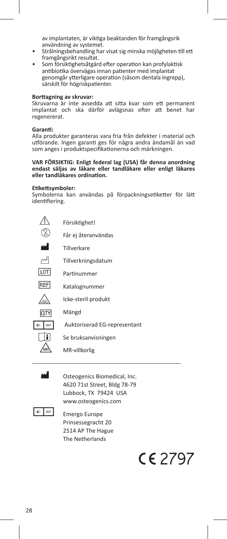av implantaten, är viktiga beaktanden för framgångsrik användning av systemet.

- Strålningsbehandling har visat sig minska möjligheten till ett framgångsrikt resultat.
- Som försiktighetsåtgärd efter operation kan profylaktisk antibiotika övervägas innan patienter med implantat genomgår ytterligare operation (såsom dentala ingrepp), särskilt för högriskpatienter.

#### **Borttagning av skruvar:**

Skruvarna är inte avsedda att sitta kvar som ett permanent implantat och ska därför avlägsnas efter att benet har regenererat.

#### **Garanti:**

Alla produkter garanteras vara fria från defekter i material och utförande. Ingen garanti ges för några andra ändamål än vad som anges i produktspecifikationerna och märkningen.

#### **VAR FÖRSIKTIG: Enligt federal lag (USA) får denna anordning endast säljas av läkare eller tandläkare eller enligt läkares eller tandläkares ordination.**

#### **Etikettsymboler:**

Symbolerna kan användas på förpackningsetiketter för lätt identifiering.

|           | Försiktighet!                |  |
|-----------|------------------------------|--|
|           | Får ej återanvändas          |  |
|           | Tillverkare                  |  |
|           | Tillverkningsdatum           |  |
| LOT       | Partinummer                  |  |
| REF       | Katalognummer                |  |
|           | Icke-steril produkt          |  |
|           | Mängd                        |  |
| EC<br>REP | Auktoriserad EG-representant |  |
|           | Se bruksanvisningen          |  |
|           | MR-villkorlig                |  |



**M** Osteogenics Biomedical, Inc. 4620 71st Street, Bldg 78-79 Lubbock, TX 79424 USA www.osteogenics.com



 Prinsessegracht 20 2514 AP The Hague The Netherlands

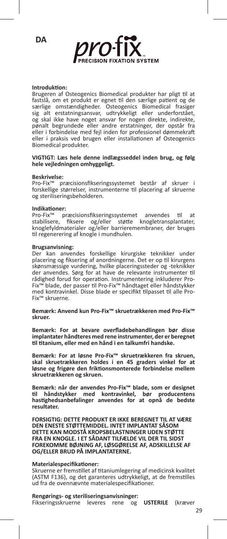



#### **Introduktion:**

Brugeren af Osteogenics Biomedical produkter har pligt til at fastslå, om et produkt er egnet til den særlige patient og de særlige omstændigheder. Osteogenics Biomedical frasiger sig alt erstatningsansvar, udtrykkeligt eller underforstået, og skal ikke have noget ansvar for nogen direkte, indirekte, pønalt begrundede eller andre erstatninger, der opstår fra eller i forbindelse med fejl inden for professionel dømmekraft eller i praksis ved brugen eller installationen af Osteogenics Biomedical produkter.

#### **VIGTIGT: Læs hele denne indlægsseddel inden brug, og følg hele vejledningen omhyggeligt.**

#### **Beskrivelse:**

Pro-Fix™ præcisionsfikseringssystemet består af skruer i forskellige størrelser, instrumenterne til placering af skruerne og steriliseringsbeholderen.

#### **Indikationer:**

Pro-Fix™ præcisionsfikseringssystemet anvendes til at<br>stabilisere, fiksere og/eller støtte knogletransplantater,<br>knoglefyldmaterialer og/eller barrieremembraner, der bruges til regenerering af knogle i mundhulen.

#### **Brugsanvisning:**

Der kan anvendes forskellige kirurgiske teknikker under placering og fiksering af anordningerne. Det er op til kirurgens skønsmæssige vurdering, hvilke placeringssteder og -teknikker der anvendes. Sørg for at have de relevante instrumenter til rådighed forud for operation. Instrumentering inkluderer Pro-Fix™ blade, der passer til Pro-Fix™ håndtaget eller håndstykker med kontravinkel. Disse blade er specifikt tilpasset til alle Pro-Fix™ skruerne.

#### **Bemærk: Anvend kun Pro-Fix™ skruetrækkeren med Pro-Fix™ skruer.**

**Bemærk: For at bevare overfladebehandlingen bør disse implantater håndteres med rene instrumenter, der er beregnet til titanium, eller med en hånd i en talkumfri handske.**

**Bemærk: For at løsne Pro-Fix™ skruetrækkeren fra skruen, skal skruetrækkeren holdes i en 45 graders vinkel for at løsne og frigøre den friktionsmonterede forbindelse mellem skruetrækkeren og skruen.**

**Bemærk: når der anvendes Pro-Fix™ blade, som er designet til håndstykker med kontravinkel, bør producentens hastighedsanbefalinger anvendes for at opnå de bedste resultater.**

**FORSIGTIG: DETTE PRODUKT ER IKKE BEREGNET TIL AT VÆRE DEN ENESTE STØTTEMIDDEL. INTET IMPLANTAT SÅSOM DETTE KAN MODSTÅ KROPSBELASTNINGER UDEN STØTTE FRA EN KNOGLE. I ET SÅDANT TILFÆLDE VIL DER TIL SIDST FOREKOMME BØJNING AF, LØSGØRELSE AF, ADSKILLELSE AF OG/ELLER BRUD PÅ IMPLANTATERNE.**

#### **Materialespecifikationer:**

Skruerne er fremstillet af titaniumlegering af medicinsk kvalitet (ASTM F136), og det garanteres udtrykkeligt, at de fremstilles ud fra de ovennævnte materialespecifikationer.

#### **Rengørings- og steriliseringsanvisninger:**

Fikseringsskruerne leveres rene og **USTERILE** (kræver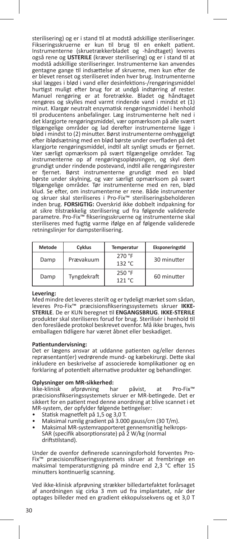sterilisering) og er i stand til at modstå adskillige steriliseringer. Fikseringsskruerne er kun til brug til en enkelt patient. Instrumenterne (skruetrækkerbladet og -håndtaget) leveres også rene og **USTERILE** (kræver sterilisering) og er i stand til at modstå adskillige steriliseringer. Instrumenterne kan anvendes gentagne gange til indsættelse af skruerne, men kun efter de er blevet renset og steriliseret inden hver brug. Instrumenterne skal lægges i blød i vand eller desinfektions-/rengøringsmiddel hurtigst muligt efter brug for at undgå indtørring af rester. Manuel rengøring er at foretrække. Bladet og håndtaget rengøres og skylles med varmt rindende vand i mindst et (1) minut. Klargør neutralt enzymatisk rengøringsmiddel i henhold til producentens anbefalinger. Læg instrumenterne helt ned i det klargjorte rengøringsmiddel, vær opmærksom på alle svært tilgængelige områder og lad derefter instrumenterne ligge i blød i mindst to (2) minutter. Børst instrumenterne omhyggeligt efter iblødsætning med en blød børste under overfladen på det klargjorte rengøringsmiddel, indtil alt synligt smuds er fjernet. Vær særligt opmærksom på svært tilgængelige områder. Tag instrumenterne op af rengøringsopløsningen, og skyl dem grundigt under rindende postevand, indtil alle rengøringsrester er fjernet. Børst instrumenterne grundigt med en blød børste under skylning, og vær særligt opmærksom på svært tilgængelige områder. Tør instrumenterne med en ren, blød klud. Se efter, om instrumenterne er rene. Både instrumenter og skruer skal steriliseres i Pro-Fix™ steriliseringsbeholderen inden brug. **FORSIGTIG:** Overskrid ikke dobbelt indpakning for at sikre tilstrækkelig sterilisering ud fra følgende validerede parametre. Pro-Fix™ fikseringsskruerne og instrumenterne skal steriliseres med fugtig varme ifølge en af følgende validerede retningslinjer for dampsterilisering.

| Metode | Cyklus      | <b>Temperatur</b> | Eksponeringstid |
|--------|-------------|-------------------|-----------------|
| Damp   | Prævakuum   | 270 °F<br>132 °C  | 30 minutter     |
| Damp   | Tyngdekraft | 250 °F<br>121 °C  | 60 minutter     |

#### **Levering:**

Med mindre det leveres sterilt og er tydeligt mærket som sådan, leveres Pro-Fix™ præcisionsfikseringssystemets skruer **IKKE-STERILE**. De er KUN beregnet til **ENGANGSBRUG**. **IKKE-STERILE** produkter skal steriliseres forud for brug. Sterilisér i henhold til den foreslåede protokol beskrevet ovenfor. Må ikke bruges, hvis emballagen tidligere har været åbnet eller beskadiget.

#### **Patientundervisning:**

Det er lægens ansvar at uddanne patienten og/eller dennes repræsentant(er) vedrørende mund- og kæbekirurgi. Dette skal inkludere en beskrivelse af associerede komplikationer og en forklaring af potentielt alternative produkter og behandlinger.

### **Oplysninger om MR-sikkerhed:**

Ikke-klinisk afprøvning har påvist, at Pro-Fix™ præcisionsfikseringssystemets skruer er MR-betingede. Det er sikkert for en patient med denne anordning at blive scannet i et MR-system, der opfylder følgende betingelser:<br>• Statisk magnetfelt på 1,5 og 3,0 T.

- 
- 
- Statisk magnetfelt på 1,5 og 3,0 T.<br>• Maksimal rumlig gradient på 3.000 gauss/cm (30 T/m).<br>• Maksimal MR-systemrapporteret gennemsnitlig helkrops-<br>SAR (specifik absorptionsrate) på 2 W/kg (normal driftstilstand).

Under de ovenfor definerede scanningsforhold forventes Pro-Fix™ præcisionsfikseringssystemets skruer at frembringe en maksimal temperaturstigning på mindre end 2,3 °C efter 15 minutters kontinuerlig scanning.

Ved ikke-klinisk afprøvning strækker billedartefaktet forårsaget af anordningen sig cirka 3 mm ud fra implantatet, når der optages billeder med en gradient ekkopulssekvens og et 3,0 T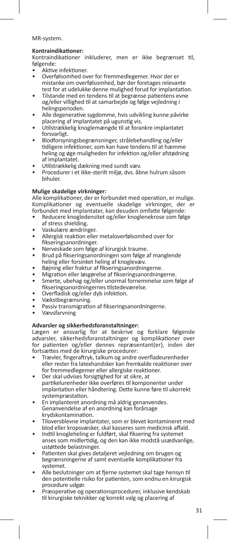### MR-system.

#### **Kontraindikationer:**

Kontraindikationer inkluderer, men er ikke begrænset til, følgende:<br>• Aktive infektioner.

- 
- Overfølsomhed over for fremmedlegemer. Hvor der er mistanke om overfølsomhed, bør der foretages relevante
- Tilstande med en tendens til at begrænse patientens evne og/eller villighed til at samarbejde og følge vejledning i
- Alle degenerative sygdomme, hvis udvikling kunne påvirke<br>placering af implantatet på ugunstig vis.
- Utilstrækkelig knoglemængde til at forankre implantatet
- forsvarligt.<br>Blodforsyningsbegrænsninger, strålebehandling og/eller tidligere infektioner, som kan have tendens til at hæmme heling og øge muligheden for infektion og/eller afstødning<br>af implantatet.
- 
- Utilstrækkelig dækning med sundt væv.<br>Procedurer i et ikke-sterilt miljø, dvs. åbne hulrum såsom bihuler.

#### **Mulige skadelige virkninger:**

Alle komplikationer, der er forbundet med operation, er mulige. Komplikationer og eventuelle skadelige virkninger, der forbundet med implantater, kan desuden omfatte følgende:

- Reducere knogledensitet og/eller knoglenekrose som følge af stress shielding.
- 
- Vaskulære ændringer.<br>Allergisk reaktion eller metaloverfølsomhed over for<br>fikseringsanordninger.
- 
- Nerveskade som følge af kirurgisk traume.<br>Brud på fikseringsanordningen som følge af manglende<br>heling eller forsinket heling af knoglevæv.
- 
- 
- heling eller fraktur af fikseringsanordningerne.<br>• Migration eller løsgørelse af fikseringsanordningerne.<br>• Smerte, ubehag og/eller unormal fornemmelse som følge af<br>fikseringsanordningernes tilstedeværelse.
- 
- 
- fikteringsanordningsanordningernes tilstedeværelse. Overfladisk og/eller dyb infektion. Vækstbegrænsning. Passiv transmigration af fikseringsanordningerne.
- Vævsfarvning

#### **Advarsler og sikkerhedsforanstaltninger:**

Lægen er ansvarlig for at beskrive og forklare følgende advarsler, sikkerhedsforanstaltninger og komplikationer over for patienten og/eller dennes repræsentant(er), inden der fortsættes med de kirurgiske procedurer:

- Trævler, fingeraftryk, talkum og andre overfladeurenheder eller rester fra latexhandsker kan fremkalde reaktioner over for fremmedlegemer eller allergiske reaktioner.<br>Der skal udvises forsigtighed for at sikre, at
- partikelurenheder ikke overføres til komponenter under implantation eller håndtering. Dette kunne føre til ukorrekt
- En implanteret anordning må aldrig genanvendes. Genanvendelse af en anordning kan forårsage
- Tiloversblevne implantater, som er blevet kontamineret med<br>blod eller kropsvæsker, skal kasseres som medicinsk affald.
- Indtil knogleheling er fuldført, skal fiksering fra systemet anses som midlertidig, og den kan ikke modstå usædvanlige, ustøttede belastninger.
- Patienten skal gives detaljeret vejledning om brugen og begrænsningerne af samt eventuelle komplikationer fra systemet.
- Alle beslutninger om at fjerne systemet skal tage hensyn til den potentielle risiko for patienten, som endnu en kirurgisk
- Præoperative og operationsprocedurer, inklusive kendskab til kirurgiske teknikker og korrekt valg og placering af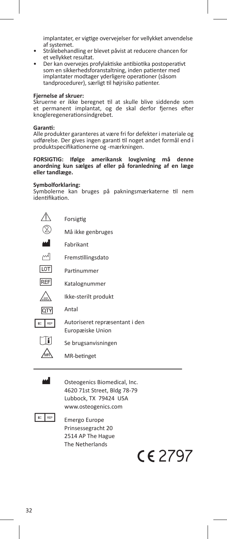implantater, er vigtige overvejelser for vellykket anvendelse

- Strålebehandling er blevet påvist at reducere chancen for<br>et vellvkket resultat.
- Der kan overvejes profylaktiske antibiotika postoperativt som en sikkerhedsforanstaltning, inden patienter med implantater modtager yderligere operationer (såsom tandprocedurer), særligt til højrisiko patienter.

#### **Fjernelse af skruer:**

Skruerne er ikke beregnet til at skulle blive siddende som et permanent implantat, og de skal derfor fjernes efter knogleregenerationsindgrebet.

#### **Garanti:**

Alle produkter garanteres at være fri for defekter i materiale og udførelse. Der gives ingen garanti til noget andet formål end i produktspecifikationerne og -mærkningen.

#### **FORSIGTIG: Ifølge amerikansk lovgivning må denne anordning kun sælges af eller på foranledning af en læge eller tandlæge.**

### **Symbolforklaring:**

Symbolerne kan bruges på pakningsmærkaterne til nem identifikation.

|           | Forsigtig                                          |
|-----------|----------------------------------------------------|
|           | Må ikke genbruges                                  |
| اس        | Fabrikant                                          |
| اسم       | Fremstillingsdato                                  |
| lot       | Partinummer                                        |
| REF       | Katalognummer                                      |
|           | Ikke-sterilt produkt                               |
|           | Antal                                              |
| EC<br>REP | Autoriseret repræsentant i den<br>Europæiske Union |
|           | Se brugsanvisningen                                |
|           | MR-betinget                                        |

**M** Osteogenics Biomedical, Inc. 4620 71st Street, Bldg 78-79 Lubbock, TX 79424 USA www.osteogenics.com



**EC** REP **Emergo Europe**  Prinsessegracht 20 2514 AP The Hague The Netherlands

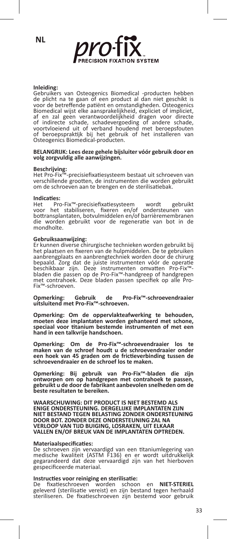**NL**



#### **Inleiding:**

Gebruikers van Osteogenics Biomedical -producten hebben de plicht na te gaan of een product al dan niet geschikt is voor de betreffende patiënt en omstandigheden. Osteogenics Biomedical wijst elke aansprakelijkheid, expliciet of impliciet,<br>af en zal geen verantwoordelijkheid dragen voor directe<br>of indirecte schade, schadevergoeding of andere schade,<br>voortvloeiend uit of verband houdend met bero Osteogenics Biomedical-producten.

## **BELANGRIJK: Lees deze gehele bijsluiter vóór gebruik door en volg zorgvuldig alle aanwijzingen.**

### **Beschrijving:**

Het Pro-Fix™-precisiefixatiesysteem bestaat uit schroeven van verschillende grootten, de instrumenten die worden gebruikt om de schroeven aan te brengen en de sterilisatiebak.

**Indicaties:** Het Pro-Fix™-precisiefixatiesysteem wordt gebruikt voor het stabiliseren, fixeren en/of ondersteunen van bottransplantaten, botvulmiddelen en/of barrièremembranen die worden gebruikt voor de regeneratie van bot in de mondholte.

**Gebruiksaanwijzing:** Er kunnen diverse chirurgische technieken worden gebruikt bij het plaatsen en fixeren van de hulpmiddelen. De te gebruiken aanbrengplaats en aanbrengtechniek worden door de chirurg bepaald. Zorg dat de juiste instrumenten vóór de operatie<br>beschikbaar zijn. Deze instrumenten omvatten Pro-Fix™bladen die passen op de Pro-Fix™-handgreep of handgrepen met contrahoek. Deze bladen passen specifiek op alle Pro-<br>Fix™-schroeven.

**Opmerking: Gebruik de Pro-Fix™-schroevendraaier uitsluitend met Pro-Fix™-schroeven.**

**Opmerking: Om de oppervlakteafwerking te behouden, moeten deze implantaten worden gehanteerd met schone, speciaal voor titanium bestemde instrumenten of met een hand in een talkvrije handschoen.**

**Opmerking: Om de Pro-Fix™-schroevendraaier los te maken van de schroef houdt u de schroevendraaier onder een hoek van 45 graden om de frictieverbinding tussen de schroevendraaier en de schroef los te maken.**

**Opmerking: Bij gebruik van Pro-Fix™-bladen die zijn ontworpen om op handgrepen met contrahoek te passen, gebruikt u de door de fabrikant aanbevolen snelheden om de beste resultaten te bereiken.**

**WAARSCHUWING: DIT PRODUCT IS NIET BESTEMD ALS ENIGE ONDERSTEUNING. DERGELIJKE IMPLANTATEN ZIJN NIET BESTAND TEGEN BELASTING ZONDER ONDERSTEUNING DOOR BOT. ZONDER DEZE ONDERSTEUNING ZAL NA VERLOOP VAN TIJD BUIGING, LOSRAKEN, UIT ELKAAR VALLEN EN/OF BREUK VAN DE IMPLANTATEN OPTREDEN.**

#### **Materiaalspecificaties:**

De schroeven zijn vervaardigd van een titaniumlegering van medische kwaliteit (ASTM F136) en er wordt uitdrukkelijk gegarandeerd dat deze vervaardigd zijn van het hierboven gespecificeerde materiaal.

#### **Instructies voor reiniging en sterilisatie:**

De fixatieschroeven worden schoon en **NIET-STERIEL** geleverd (sterilisatie vereist) en zijn bestand tegen herhaald steriliseren. De fixatieschroeven zijn bestemd voor gebruik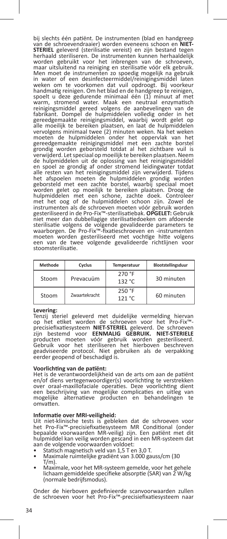bij slechts één patiënt. De instrumenten (blad en handgreep van de schroevendraaier) worden eveneens schoon en **NIET-STERIEL** geleverd (sterilisatie vereist) en zijn bestand tegen herhaald steriliseren. De instrumenten kunnen herhaaldelijk worden gebruikt voor het inbrengen van de schroeven, maar uitsluitend na reiniging en sterilisatie vóór elk gebruik. Men moet de instrumenten zo spoedig mogelijk na gebruik in water of een desinfecteermiddel/reinigingsmiddel laten weken om te voorkomen dat vuil opdroogt. Bij voorkeur handmatig reinigen. Om het blad en de handgreep te reinigen, spoelt u deze gedurende minimaal één (1) minuut af met warm, stromend water. Maak een neutraal enzymatisch reinigingsmiddel gereed volgens de aanbevelingen van de fabrikant. Dompel de hulpmiddelen volledig onder in het gereedgemaakte reinigingsmiddel, waarbij wordt gelet op alle moeilijk te bereiken plaatsen, en laat de hulpmiddelen vervolgens minimaal twee (2) minuten weken. Na het weken moeten de hulpmiddelen onder het oppervlak van het gereedgemaakte reinigingsmiddel met een zachte borstel grondig worden geborsteld totdat al het zichtbare vuil is verwijderd. Let speciaal op moeilijk te bereiken plaatsen. Neem de hulpmiddelen uit de oplossing van het reinigingsmiddel en spoel ze grondig af onder stromend leidingwater totdat<br>alle resten van het reinigingsmiddel zijn verwijderd. Tijdens<br>het afspoelen moeten de hulpmiddelen grondig worden<br>geborsteld met een zachte borstel, waarbij speciaa worden gelet op moeilijk te bereiken plaatsen. Droog de hulpmiddelen met een schone, zachte doek. Controleer met het oog of de hulpmiddelen schoon zijn. Zowel de instrumenten als de schroeven moeten vóór gebruik worden gesteriliseerd in de Pro-Fix™-sterilisatiebak. **OPGELET:** Gebruik niet meer dan dubbellagige sterilisatiedoeken om afdoende sterilisatie volgens de volgende gevalideerde parameters te waarborgen. De Pro-Fix™-fixatieschroeven en -instrumenten moeten worden gesteriliseerd met vochtige hitte volgens een van de twee volgende gevalideerde richtlijnen voor stoomsterilisatie.

| Methode | Cyclus        | Temperatuur      | Blootstellingsduur |
|---------|---------------|------------------|--------------------|
| Stoom   | Prevacuüm     | 270 °F<br>132 °C | 30 minuten         |
| Stoom   | Zwaartekracht | 250 °F<br>121 °C | 60 minuten         |

#### **Levering:**

Tenzij steriel geleverd met duidelijke vermelding hiervan op het etiket worden de schroeven voor het Pro-Fix™- precisiefixatiesysteem **NIET-STERIEL** geleverd. De schroeven zijn bestemd voor **EENMALIG GEBRUIK. NIET-STERIELE**  producten moeten vóór gebruik worden gesteriliseerd. Gebruik voor het steriliseren het hierboven beschreven geadviseerde protocol. Niet gebruiken als de verpakking eerder geopend of beschadigd is.

#### **Voorlichting van de patiënt:**

Het is de verantwoordelijkheid van de arts om aan de patiënt en/of diens vertegenwoordiger(s) voorlichting te verstrekken over oraal-maxillofaciale operaties. Deze voorlichting dient een beschrijving van mogelijke complicaties en uitleg van mogelijke alternatieve producten en behandelingen te omvatten.

#### **Informatie over MRI-veiligheid:**

Uit niet-klinische tests is gebleken dat de schroeven voor het Pro-Fix™-precisiefixatiesysteem MR Conditional (onder bepaalde voorwaarden MR-veilig) zijn. Een patiënt met dit hulpmiddel kan veilig worden gescand in een MR-systeem dat aan de volgende voorwaarden voldoet:<br>• Statisch magnetisch veld van 1,5 T en 3,0 T.

- 
- Maximale ruimtelijke gradiënt van 3.000 gauss/cm (30<br>T/m).
- Maximale, voor het MR-systeem gemelde, voor het gehele lichaam gemiddelde specifieke absorptie (SAR) van 2 W/kg (normale bedrijfsmodus).

Onder de hierboven gedefinieerde scanvoorwaarden zullen de schroeven voor het Pro-Fix™-precisiefixatiesysteem naar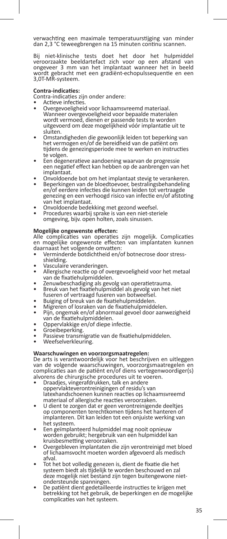verwachting een maximale temperatuurstijging van minder dan 2,3 °C teweegbrengen na 15 minuten continu scannen.

Bij niet-klinische tests doet het door het hulpmiddel veroorzaakte beeldartefact zich voor op een afstand van ongeveer 3 mm van het implantaat wanneer het in beeld wordt gebracht met een gradiënt-echopulssequentie en een 3,0T-MR-systeem.

#### **Contra-indicaties:**

Contra-indicaties zijn onder andere:

- 
- Overgevoeligheid voor lichaamsvreemd materiaal. Wanneer overgevoeligheid voor bepaalde materialen wordt vermoed, dienen er passende tests te worden uitgevoerd om deze mogelijkheid vóór implantatie uit te
- Omstandigheden die gewoonlijk leiden tot beperking van het vermogen en/of de bereidheid van de patiënt om tijdens de genezingsperiode mee te werken en instructies
- Een degeneratieve aandoening waarvan de progressie een negatief effect kan hebben op de aanbrengen van het
- Onvoldoende bot om het implantaat stevig te verankeren.<br>Beperkingen van de bloedtoevoer, bestralingsbehandeling
- en/of eerdere infecties die kunnen leiden tot vertraagde genezing en een verhoogd risico van infectie en/of afstoting
- van het implantaat. Onvoldoende bedekking met gezond weefsel. Procedures waarbij sprake is van een niet-steriele
- omgeving, bijv. open holten, zoals sinussen.

## **Mogelijke ongewenste effecten:**

complicaties van operaties zijn mogelijk. Complicaties en mogelijke ongewenste effecten van implantaten kunnen daarnaast het volgende omvatten:

- Verminderde botdichtheid en/of botnecrose door stress-<br>shielding.
- 
- Vasculaire veranderingen.<br>Allergische reactie op of overgevoeligheid voor het metaal<br>van de fixatiehulpmiddelen.
- 
- Zenuwbeschadiging als gevolg van operatietrauma.<br>Breuk van het fixatiehulpmiddel als gevolg van het niet<br>fuseren of vertraagd fuseren van botweefsel.
- 
- 
- Fusion of vertraagd fuseren van botweefsel.<br>• Buiging of breuk van de fixatiehulpmiddelen.<br>• Pijn, ongemak en/of abnormaal gevoel door aanwezigheid<br>• Pijn, ongemak en/of abnormaal gevoel door aanwezigheid<br>• Pin, ongemak en
- 
- 
- van de fixatiekige en/of diepe infectie.<br>• Groeibeperking.<br>• Passieve transmigratie van de fixatiehulpmiddelen.<br>• Weefselverkleuring.
- 

#### **Waarschuwingen en voorzorgsmaatregelen:**

De arts is verantwoordelijk voor het beschrijven en uitleggen van de volgende waarschuwingen, voorzorgsmaatregelen en complicaties aan de patiënt en/of diens vertegenwoordiger(s)

- alvorens de chirurgische procedures uit te voeren. Draadjes, vingerafdrukken, talk en andere oppervlakteverontreinigingen of residu's van latexhandschoenen kunnen reacties op lichaamsvreemd
- U dient te zorgen dat er geen verontreinigende deeltjes op componenten terechtkomen tijdens het hanteren of implanteren. Dit kan leiden tot een onjuiste werking van
- Een geïmplanteerd hulpmiddel mag nooit opnieuw worden gebruikt; hergebruik van een hulpmiddel kan
- Overgebleven implantaten die zijn verontreinigd met bloed of lichaamsvocht moeten worden afgevoerd als medisch
- afval. Tot het bot volledig genezen is, dient de fixatie die het systeem biedt als tijdelijk te worden beschouwd en zal deze mogelijk niet bestand zijn tegen buitengewone niet-<br>ondersteunde spanningen.
- De patiënt dient gedetailleerde instructies te krijgen met betrekking tot het gebruik, de beperkingen en de mogelijke complicaties van het systeem.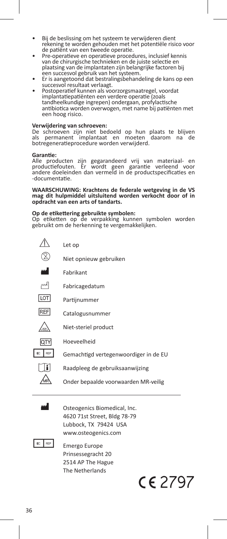- Bij de beslissing om het systeem te verwijderen dient rekening te worden gehouden met het potentiële risico voor
- Pre-operatieve en operatieve procedures, inclusief kennis van de chirurgische technieken en de juiste selectie en plaatsing van de implantaten zijn belangrijke factoren bij
- Er is aangetoond dat bestralingsbehandeling de kans op een<br>succesvol resultaat verlaagt.
- Postoperatief kunnen als voorzorgsmaatregel, voordat implantatiepatiënten een verdere operatie (zoals tandheelkundige ingrepen) ondergaan, profylactische antibiotica worden overwogen, met name bij patiënten met een hoog risico.

**Verwijdering van schroeven:** De schroeven zijn niet bedoeld op hun plaats te blijven als permanent implantaat en moeten daarom na de botregeneratieprocedure worden verwijderd.

#### **Garantie:**

Alle producten zijn gegarandeerd vrij van materiaal- en productiefouten. Er wordt geen garantie verleend voor andere doeleinden dan vermeld in de productspecificaties en -documentatie.

**WAARSCHUWING: Krachtens de federale wetgeving in de VS mag dit hulpmiddel uitsluitend worden verkocht door of in opdracht van een arts of tandarts.**

**Op de etikettering gebruikte symbolen:** Op etiketten op de verpakking kunnen symbolen worden gebruikt om de herkenning te vergemakkelijken.



Osteogenics Biomedical, Inc. 4620 71st Street, Bldg 78-79 Lubbock, TX 79424 USA www.osteogenics.com



 $E = \frac{R}{P}$  Emergo Europe Prinsessegracht 20 2514 AP The Hague The Netherlands

 $C<sub>6</sub>$  2797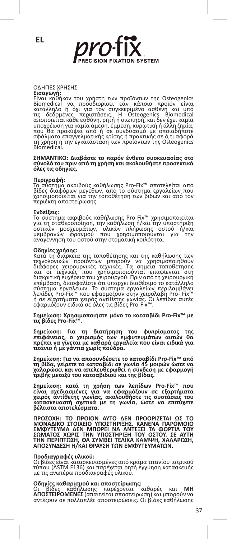

ΟΔΗΓΙΕΣ ΥΡΗΣΗΣ<br>Είσαγωγή;<br>Είναι καθήκον του χρήστη των προϊόντων της Osteogenics<br>Είναι καθήκον του προσδιορίσει εάν κάποιο προϊόν είναι<br>κατάλληλο ή όχι για τον συγκεκριμένο ασθενή και υπό<br>τις δεδομένες περιστάσεις. Η Osteo

**ΣΗΜΑΝΤΙΚΟ: Διαβάστε το παρόν ένθετο συσκευασίας στο σύνολό του πριν από τη χρήση και ακολουθήστε προσεκτικά όλες τις οδηγίες.**

#### **Περιγραφή:**

Το σύστημα ακριβούς καθήλωσης Pro-Fix™ αποτελείται από<br>βίδες διαφόρων μεγεθών, από το σύστημα εργαλείων που<br>χρησιμοποιείται για την τοποθέτηση των βιδών και από τον<br>περιέκτη αποστείρωσης.

**Ενδείξεις:**<br>Το σύστημα ακριβούς καθήλωσης Pro-Fix™ χρησιμοποιείται<br>για τη σταθεροποίηση, την καθήλωση ή/και την υποστήριξη<br>μεμβρανών φραγματών, υλικών πλήρωσης οστού ή/και<br>αναγέννηση του οστού στην στοματική κοιλότητα.<br>α

**Οδηγίες χρήσης:**<br>Κατά τη διάρκεια της τοποθέτησης και της καθήλωσης των<br>τεχνολογικών προϊόντων μπορούν να χρησιμοποιηθούν<br>διάφορες χειρουργικές τεχνικές. Τα σημεία τοποθέτησης<br>και οι τεχνικές που χρησιμοποιούνται επαφίεν σύστημα εργαλείων. Το σύστημα εργαλείων περιλαμβάνει<br>λεπίδες Pro-Fix™ που εφαρμόζουν στην χειρολαβή Pro- Fix™<br>ή σε εξαρτήματα χειρός αντίθετης γωνίας. Οι λεπίδες αυτές<br>εφαρμόζουν ειδικά σε όλες τις βίδες Pro-Fix™.

**Σημείωση: Χρησιμοποιήστε μόνο το κατσαβίδι Pro-Fix™ με τις βίδες Pro-Fix™.**

**Σημείωση: Για τη διατήρηση του φινιρίσματος της επιφάνειας, ο χειρισμός των εμφυτευμάτων αυτών θα πρέπει να γίνεται με καθαρά εργαλεία που είναι ειδικά για τιτάνιο ή με γάντια χωρίς πούδρα.**

**Σημείωση: Για να αποσυνδέσετε το κατσαβίδι Pro-Fix™ από τη βίδα, γείρετε το κατσαβίδι σε γωνία 45 μοιρών ώστε να χαλαρώσει και να απελευθερωθεί η σύνδεση με εφαρμογή τριβής μεταξύ του κατσαβιδιού και της βίδας.**

Σημείωση: κατά τη χρήση των λεπίδων Pro-Fix™ που<br>είναι σχεδιασμένες για να εφαρμόζουν σε εξαρτήματα<br>χειρός αντίθετης γωνίας, ακολουθήστε τις συστάσεις του<br>κατασκευαστή σχετικά με τη γωνία, ώστε να επιτύχετε<br>βέλτιστααποτε

ΠΡΟΣΟΧΗ: ΤΟ ΠΡΟΙΟΝ ΑΥΤΟ ΔΕΝ ΠΡΟΟΡΙΖΕΤΑΙ ΩΣ ΤΟ<br>ΜΟΝΑΔΙΚΟ ΣΤΟΙΧΕΙΟ ΥΠΟΣΤΗΡΙΞΗΣ. ΚΑΝΕΝΑ ΠΑΡΟΜΟΙΟ<br>ΕΜΦΥΤΕΥΜΑ ΔΕΝ ΜΠΟΡΕΙ ΝΑ ΑΝΤΕΞΕΙ ΤΑ ΦΟΡΤΙΑ ΤΟΥ<br>ΣΩΜΑΤΟΣ ΧΩΡΙΣ ΤΗΝ ΥΠΟΣΤΗΡΙΞΗ ΤΟΥ ΟΣΤΟΥ. ΣΕ ΑΥΤΗ<br>ΤΗΝ ΠΕΡΙΠΤΩΣΗ, ΘΑ ΣΥΜΒΕΙ ΤΕΛΙΚΑ ΚΑ

### **Προδιαγραφές υλικού:**

Οι βίδες είναι κατασκευασμένες από κράμα τιτανίου ιατρικού τύπου (ASTM F136) και παρέχεται ρητή εγγύηση κατασκευής με τις ανωτέρω προδιαγραφές υλικού.

**Οδηγίες καθαρισμού και αποστείρωσης:**<br>Οι βίδες καθήλωσης παρέχονται καθαρές και **ΜΗ**<br>**ΑΠΟΣΤΕΙΡΩΜΕΝΕΣ** (απαιτείται αποστείρωση) και μπορούν να<br>αντέξουν σε πολλαπλές αποστειρώσεις. Οι βίδες καθήλωσης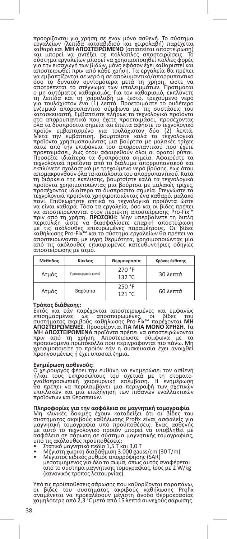προορίζονται για χρήση σε έναν μόνο ασθενή. Το σύστημα εργαλείων (λεπίδα κατσαβιδιού και χειρολαβή) παρέχεται καθαρό και **ΜΗ ΑΠΟΣΤΕΙΡΩΜΕΝΟ** (απαιτείται αποστείρωση)<br>και μπορεί να αντέξει σε πολλαπλές αποστειρώσεις. Το<br>σύστημα εργαλείων μπορεί να χρησιμοποιηθεί πολλές φορές<br>για την εισαγωγή των βιδών, μόνο εφόσον έχει καθαριστεί κ στο απορρυπαντικό που έχετε προετοιμάσει, προσέχοντας<br>όλα τα δυσπρόσιτα σημεία και έπειτα αφήστε το τεχνολογικό<br>προϊόν εμβαπτισμένο για τουλάχιστον δύο (2) λεπτά.<br>Μετά την εμβάπτιση, βουρτσίστε καλά τα τεχνολογικά προϊόντα χρησιμοποιώντας μια βούρτσα με μαλακες τρίχες<br>κάτω από την επιφάνεια του απορρυπαντικού που έχετε<br>προετοιμάσει, έως ότου αφαιρεθούν όλοι οι ορατοί ρύποι.<br>Προσέξτε ιδιαίτερα τα δυσπρόσιτα σημεία. Αφαιρέστε τα<br>τεχν απομακρυνθούν όλα τα κατάλουτα του απορρυπαντικού Κατά<br>τη διάρκεια της έκπλυσης, βουρτσίστε καλά τα τεχνολογικά<br>προϊόντα χρησιμοποιώντας μια βούρτσα με μαλακές τρίχες,<br>προσέχοντας ιδιαίτερα τα δυσπρόσιτα σημεία. Στεγνώστε

| Μέθοδος | Κύκλος              | Θερμοκρασία      | Χρόνος έκθεσης    |
|---------|---------------------|------------------|-------------------|
| Ατμός   | Προκατεργασία κενού | 270 °F<br>132 °C | 30 λεπτά          |
| Ατμός   | Βαρύτητα            | 250 °F<br>121 °C | $60 \lambda$ επτά |

**Τρόπος διάθεσης:**<br>Εκτός και εάν παρέχονται αποστειρωμένες και εμφανώς<br>επισημασμένες ως αποστειρωμένες, οι βίδες του<br>συστήματος ακριβούς καθήλωσης Pro-Fix<sup>w</sup> παρέχονται **MH**<br>**ΑΠΟΣΤΕΙΡΩΜΕΝΕΣ.** Προορίζονται **ΓΙΑ ΜΙΑ ΜΟΝΟ ΧΡ** 

#### **Ενημέρωση ασθενούς:**

Ο χειρουργός φέρει την ευθύνη να ενημερώσει τον ασθενή<br>ή/και τους εκπροσώπους του σχετικά με τη στοματο-<br>γναθοπροσωπική χειρουργική επέμβαση. Η ενημέρωση<br>θα πρέπει να τειροναμβάνει μια πιθανώνα εναλλακτικών<br>επιπλοκών και προϊόντων και θεραπειών.

**Πληροφορίες για την ασφάλεια σε μαγνητική τομογραφία**<br>Μη κλινικές δοκιμές έχουν καταδείξει ότι οι βίδες του<br>συστήματος ακριβούς καθήλωσης Profix είναι ασφαλείς για μαγνητική τομογραφία υπό προϋποθέσεις. Ένας ασθενής<br>με αυτό το τεχνολογικό προϊόν μπορεί να υποβληθεί με<br>ασφάλεια σε σάρωση σε σύστημα μαγνητικής τομογραφίας,<br>υπό τις ακόλουθες προϋποθέσεις:<br>• Στατικό μαγνητικό πεδίο 1,5

- 
- 
- από το σύστημα μαγνητικής τομογραφίας, ίσος με 2 W/kg (κανονικός τρόπος λειτουργίας).

Υπό τις προϋποθέσεις σάρωσης που καθορίζονται παραπάνω,<br>οι βίδες του συστήματος ακριβούς καθήλωσης Profix<br>αναμένεται να προκαλέσουν μέγιστη άνοδο θερμοκρασίας<br>χαμηλότερη από 2,3 °C μετά από 15 λεπτά συνεχούς σάρωσης.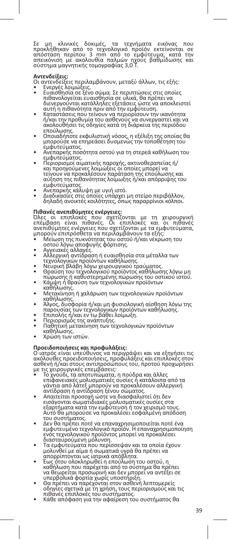Σε μη κλινικές δοκιμές, τα τεχνήματα εικόνας που<br>προκληθηκαν από το τεχνολογικό προϊόν εκτείνονται σε<br>απόσταση περίπου 3 mm από το εμφύτευμα, κατά την<br>αύστημα μαγνητικής τομογραφίας 3,0 T.<br>σύστημα μαγνητικής τομογραφίας 3

- 
- **Αντενδείξεις:**<br>Οι αντενδείξεις περιλαμβάνουν, μεταξύ άλλων, τις εξής:<br>• Ενεργές λοιμώξεις.<br>• Ενεργές λοιμώξεις.<br>- πιθανολογείται ευαισθησία σε υλικά, θα πρέπει να<br>πιθανολογείται ευαισθησία σε υλικά, θα πρέπει να<br>διενεργο
- ή/και την προθυμία του ασθενούς να συνεργαστεί και να ακολουθήσει τις οδηγίες κατά τη διάρκεια της περιόδου
- επούλωσης. Οποιαδήποτε εκφυλιστική νόσος, η εξέλιξη της οποίας θα μπορούσε να επηρεάσει δυσμενώς την τοποθέτηση του
- εμφυτεύματος.<br>Ανεπαρκής ποσότητα οστού για τη στερεά καθήλωση του εμφυτεύματος. • Περιορισμοί αιματικής παροχής, ακτινοθεραπείας ή/
- και προηγούμενες λοιμώξεις οι όποίες μπορεί να<br>τείνουν να προκαλέσουν παράταση της επούλωσης και<br>αύξηση της πιθανότητας λοίμωξης ή/και απόρριψης του
- 
- εμφυτεύματος.<br>• Ανεπαρκής κάλυψη με υγιή ιστό.<br>• Διαδικασίες στις οποίες υπάρχει μη στείρο περιβάλλον,<br>δηλαδή ανοικτές κοιλότητες, όπως παραρρίνιοι κόλποι.

**Πιθανές ανεπιθύμητες ενέργειες:**<br>Όλες οι επιπλοκές που σχετίζονται με τη χειρουργική<br>επέμβαση είναι πιθανές. Οι επιπλοκές και οι πιθανές<br>ανεπιθύμητες ενέργειες να περιλαμβάνουν τα εξής:<br>μπορούν επιπρόσθετα να περιλαμβάνο

- Μείωση της πυκνότητας του οστού ή/και νέκρωση του οστού λόγω αποφυγής φόρτισης. Αγγειακές αλλαγές. Αλλεργική αντίδραση ή ευαισθησία στα μέταλλα των
- 
- 
- 
- τεχνολογικών προϊόντων καθήλωσης.<br>• Νευρική βλάβη λόγω χειρουργικού τραύματος.<br>• Θραύση του τεχνολογικού προϊόντος καθήλωσης λόγω μη πώρωσης ή καθυστερημένης πώρωσης του οστικού ιστού. • Κάμψη ή θραύση των τεχνολογικών προϊόντων
- 
- · καθήλωσης.<br>• καθήλωσης.<br>Μετακίνηση ή χαλάρωση των τεχνολογικών προϊόντων
- καθήλωσης. Άλγος, δυσφορία ή/και μη φυσιολογική αίσθηση λόγω της παρουσίας των τεχνολογικών προϊόντων καθήλωσης.<br>• Επιπολής ή/και εν τω βάθει λοίμωξη.<br>• Παθητική μετακίνηση των τεχνολογικών προϊόντων<br>• Παθητική μετακίνηση των τεχνολογικών προϊόντων
- 
- 
- καθήλωσης. Χρώση των ιστών.
- 

### **Προειδοποιήσεις και προφυλάξεις:**

Ο ιατρός είναι υπεύθυνος να περιγράψει και να εξηγήσει τις ακόλουθες προειδοποιήσεις, προφυλάξεις και επιπλοκές στον ασθενή ή/και στους αντιπροσώπους του, προτού προχωρήσει με τις χειρουργικές επεμβάσεις:

- Το χνούδι, τα αποτυπώματα, η πούδρα και άλλες επιφανειακές μολυσματικές ουσίες ή κατάλοιπα από τα γάντια από λάτεξ μπορούν να προκαλέσουν αλλεργική
- αντίδραση ή αντίδραση ξένου σώματος.<br>• Απαιτείται προσοχή ώστε να διασφαλιστεί ότι δεν<br> εισάγονται σωματιδιακές μολυσματικές ουσίες στα<br>εξαρτήματα κατά την εμφύτευση ή τον χειρισμό τους. Αυτό θα μπορούσε να προκαλέσει εσφαλμένη απόδοση
- του συστήματος. Δεν θα πρέπει ποτέ να επαναχρησιμοποιείται ποτέ ένα εμφυτευμένο τεχνολογικό προϊόν. Η επαναχρησιμοποίηση ενός τεχνολογικού προϊόντος μπορεί να προκαλέσει διασταυρούμενη μόλυνση. • Τα εμφυτεύματα που περίσσεψαν και τα οποία έχουν
- 
- μολύνθεί με αίμα ή σωματικά ύγρά θα πρέπει να<br>"απορρίπτονται ως ιατρικά απόβλητα.<br>"Εως ότου ολοκληρωθεί η επούλωση του οστού, η<br>"Εως ότου ολοκληρωθεί η επούλωση του οστού, η<br>"καθήλωση που παρέχεται από το συστηρία θα πρέπ
- 
-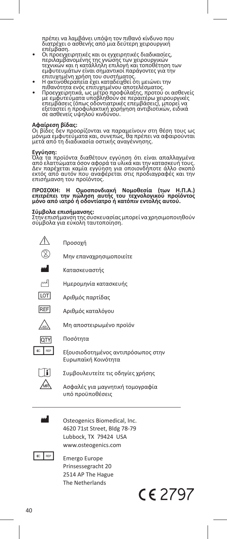πρέπει να λαμβάνει υπόψη τον πιθανό κίνδυνο που διατρέχει ο ασθενής από μια δεύτερη χειρουργική

- επέμβαση.<br>• Οι προεγχειρητικές και οι εγχειρητικές διαδικασίες,<br>περιλαμβανομένης της γνώσης των χειρουργικών<br>τεχνικών και η κατάλληλη επιλογή και τοποθέτηση των εμφυτευμάτων είναι σημαντικοί παράγοντες για την
- επιτυχημένη χρήση του συστήματος. Η ακτινοθεραπεία έχει καταδειχθεί ότι μειώνει την
- πιθανότητα ενός επιτυχημένου αποτελέσματος.<br>• Προεγχειρητικά, ως μέτρο προφύλαξης, προτού οι ασθενείς<br>με εμφυτεύματα υποβληθούν σε περαιτέρω χειρουργικές<br>επεμβάσεις (όπως οδοντιατρικές επεμβάσεις), μπορεί να εξεταστεί η προφυλακτική χορήγηση αντιβιοτικών, ειδικά σε ασθενείς υψηλού κινδύνου.

**Αφαίρεση βίδας:**<br>Οι βίδες δεν προορίζονται να παραμείνουν στη θέση τους ως<br>μέτά από τη διαδικασία οστικής αναγέννησης.<br>μετά από τη διαδικασία οστικής αναγέννησης.

**Εγγύηση:**<br>Όλα τα προϊόντα διαθέτουν εγγύηση ότι είναι απαλλαγμένα<br>από ελαττώματα όσον αφορά τα υλικά και την κατασκευή τους.<br>Δεν παρέχεται καμία εγγύηση για οποιονδήποτε άλλο σκοπό<br>επισήμανση του προϊόντος.<br>επισήμανση το

# **ΠΡΟΣΟΧΗ: Η Ομοσπονδιακή Νομοθεσία (των Η.Π.Α.) επιτρέπει την πώληση αυτής του τεχνολογικού προϊόντος μόνο από ιατρό ή οδοντίατρο ή κατόπιν εντολής αυτού.**

**Σύμβολα επισήμανσης:**<br>Στην επισήμανση της συσκευασίας μπορεί να χρησιμοποιηθούν<br>σύμβολα για εύκολη ταυτοποίηση.





**i** Συμβουλευτείτε τις οδηγίες χρήσης

Ασφαλές για μαγνητική τομογραφία υπό προϋποθέσεις



Osteogenics Biomedical, Inc. 4620 71st Street, Bldg 78-79 Lubbock, TX 79424 USA www.osteogenics.com



 $E = \frac{REP}{P}$  Emergo Europe Prinsessegracht 20 2514 AP The Hague The Netherlands